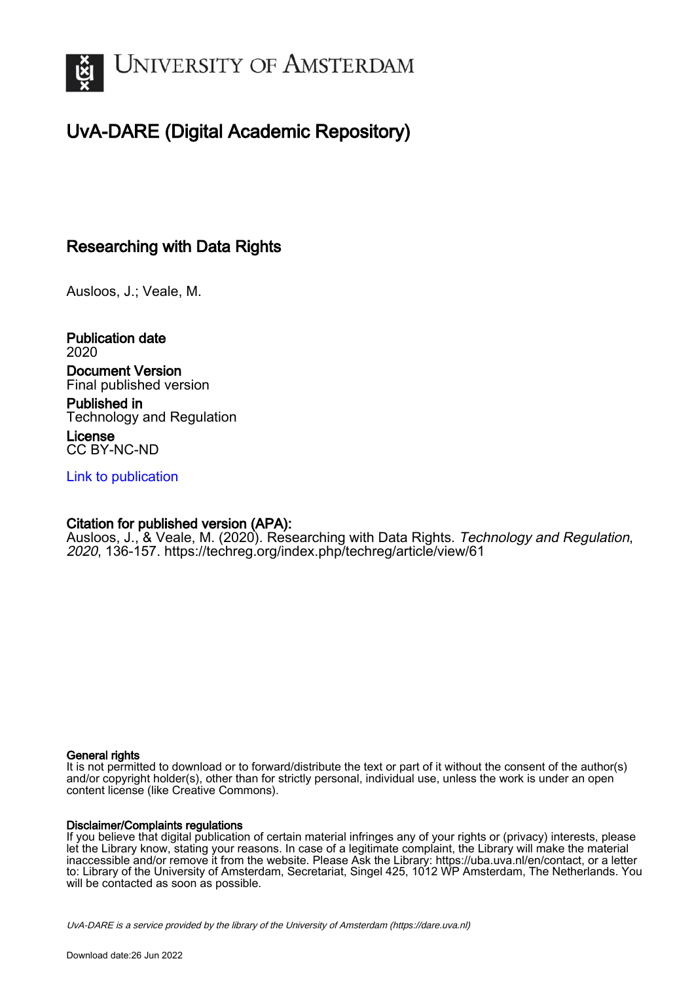

# UvA-DARE (Digital Academic Repository)

# Researching with Data Rights

Ausloos, J.; Veale, M.

Publication date 2020

# Document Version

Final published version Published in

Technology and Regulation License

CC BY-NC-ND

[Link to publication](https://dare.uva.nl/personal/pure/en/publications/researching-with-data-rights(655546f9-80ce-4f1f-8cef-fe7aacf0fc15).html)

# Citation for published version (APA):

Ausloos, J., & Veale, M. (2020). Researching with Data Rights. Technology and Regulation, 2020, 136-157.<https://techreg.org/index.php/techreg/article/view/61>

# General rights

It is not permitted to download or to forward/distribute the text or part of it without the consent of the author(s) and/or copyright holder(s), other than for strictly personal, individual use, unless the work is under an open content license (like Creative Commons).

# Disclaimer/Complaints regulations

If you believe that digital publication of certain material infringes any of your rights or (privacy) interests, please let the Library know, stating your reasons. In case of a legitimate complaint, the Library will make the material inaccessible and/or remove it from the website. Please Ask the Library: https://uba.uva.nl/en/contact, or a letter to: Library of the University of Amsterdam, Secretariat, Singel 425, 1012 WP Amsterdam, The Netherlands. You will be contacted as soon as possible.

UvA-DARE is a service provided by the library of the University of Amsterdam (http*s*://dare.uva.nl)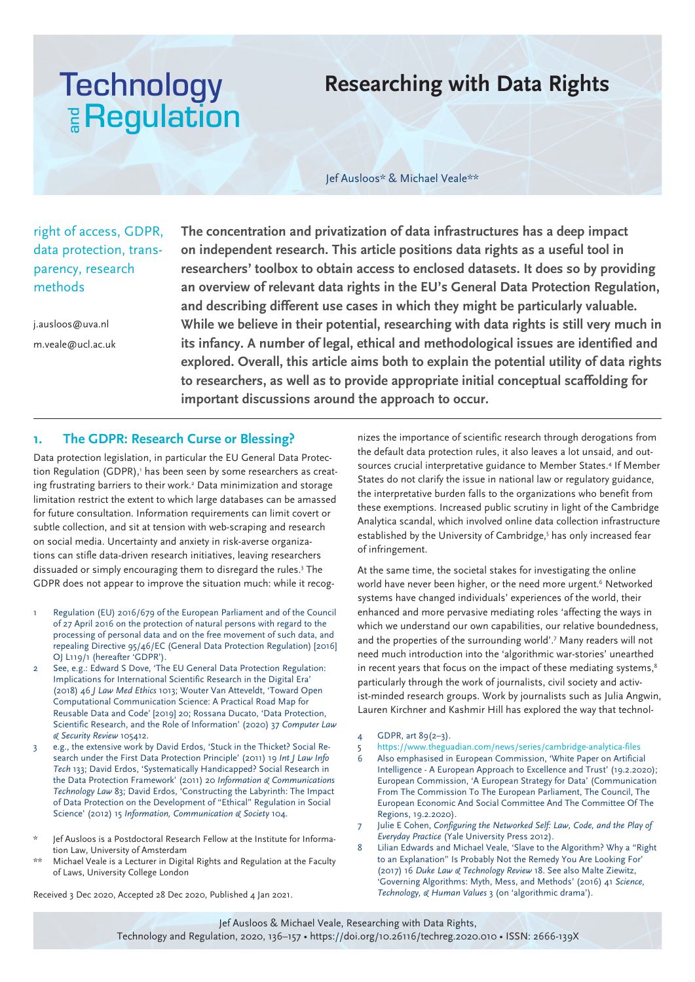# **Technology E** Regulation

# **Researching with Data Rights**

Jef Ausloos\* & Michael Veale\*\*

right of access, GDPR, data protection, transparency, research methods

j.ausloos@uva.nl m.veale@ucl.ac.uk **The concentration and privatization of data infrastructures has a deep impact on independent research. This article positions data rights as a useful tool in researchers' toolbox to obtain access to enclosed datasets. It does so by providing an overview of relevant data rights in the EU's General Data Protection Regulation, and describing different use cases in which they might be particularly valuable. While we believe in their potential, researching with data rights is still very much in its infancy. A number of legal, ethical and methodological issues are identified and explored. Overall, this article aims both to explain the potential utility of data rights to researchers, as well as to provide appropriate initial conceptual scaffolding for important discussions around the approach to occur.**

# **1. The GDPR: Research Curse or Blessing?**

Data protection legislation, in particular the EU General Data Protection Regulation (GDPR),' has been seen by some researchers as creating frustrating barriers to their work.<sup>2</sup> Data minimization and storage limitation restrict the extent to which large databases can be amassed for future consultation. Information requirements can limit covert or subtle collection, and sit at tension with web-scraping and research on social media. Uncertainty and anxiety in risk-averse organizations can stifle data-driven research initiatives, leaving researchers dissuaded or simply encouraging them to disregard the rules.3 The GDPR does not appear to improve the situation much: while it recog-

- 1 Regulation (EU) 2016/679 of the European Parliament and of the Council of 27 April 2016 on the protection of natural persons with regard to the processing of personal data and on the free movement of such data, and repealing Directive 95/46/EC (General Data Protection Regulation) [2016] OJ L119/1 (hereafter 'GDPR').
- 2 See, e.g.: Edward S Dove, 'The EU General Data Protection Regulation: Implications for International Scientific Research in the Digital Era' (2018) 46 *J Law Med Ethics* 1013; Wouter Van Atteveldt, 'Toward Open Computational Communication Science: A Practical Road Map for Reusable Data and Code' [2019] 20; Rossana Ducato, 'Data Protection, Scientific Research, and the Role of Information' (2020) 37 *Computer Law & Security Review* 105412.
- 3 e.g., the extensive work by David Erdos, 'Stuck in the Thicket? Social Research under the First Data Protection Principle' (2011) 19 *Int J Law Info Tech* 133; David Erdos, 'Systematically Handicapped? Social Research in the Data Protection Framework' (2011) 20 *Information & Communications Technology Law* 83; David Erdos, 'Constructing the Labyrinth: The Impact of Data Protection on the Development of "Ethical" Regulation in Social Science' (2012) 15 *Information, Communication & Society* 104.
- Jef Ausloos is a Postdoctoral Research Fellow at the Institute for Information Law, University of Amsterdam
- \*\* Michael Veale is a Lecturer in Digital Rights and Regulation at the Faculty of Laws, University College London

Received 3 Dec 2020, Accepted 28 Dec 2020, Published 4 Jan 2021.

nizes the importance of scientific research through derogations from the default data protection rules, it also leaves a lot unsaid, and outsources crucial interpretative guidance to Member States.<sup>4</sup> If Member States do not clarify the issue in national law or regulatory guidance, the interpretative burden falls to the organizations who benefit from these exemptions. Increased public scrutiny in light of the Cambridge Analytica scandal, which involved online data collection infrastructure established by the University of Cambridge,<sup>5</sup> has only increased fear of infringement.

At the same time, the societal stakes for investigating the online world have never been higher, or the need more urgent.<sup>6</sup> Networked systems have changed individuals' experiences of the world, their enhanced and more pervasive mediating roles 'affecting the ways in which we understand our own capabilities, our relative boundedness, and the properties of the surrounding world'.7 Many readers will not need much introduction into the 'algorithmic war-stories' unearthed in recent years that focus on the impact of these mediating systems,<sup>8</sup> particularly through the work of journalists, civil society and activist-minded research groups. Work by journalists such as Julia Angwin, Lauren Kirchner and Kashmir Hill has explored the way that technol-

- 4 GDPR, art  $89(2-3)$ .
- 5 https://www.theguadian.com/news/series/cambridge-analytica-files
- 6 Also emphasised in European Commission, 'White Paper on Artificial Intelligence - A European Approach to Excellence and Trust' (19.2.2020); European Commission, 'A European Strategy for Data' (Communication From The Commission To The European Parliament, The Council, The European Economic And Social Committee And The Committee Of The Regions, 19.2.2020).
- 7 Julie E Cohen, *Configuring the Networked Self: Law, Code, and the Play of Everyday Practice* (Yale University Press 2012).
- Lilian Edwards and Michael Veale, 'Slave to the Algorithm? Why a "Right to an Explanation" Is Probably Not the Remedy You Are Looking For' (2017) 16 *Duke Law & Technology Review* 18. See also Malte Ziewitz, 'Governing Algorithms: Myth, Mess, and Methods' (2016) 41 *Science, Technology, & Human Values* 3 (on 'algorithmic drama').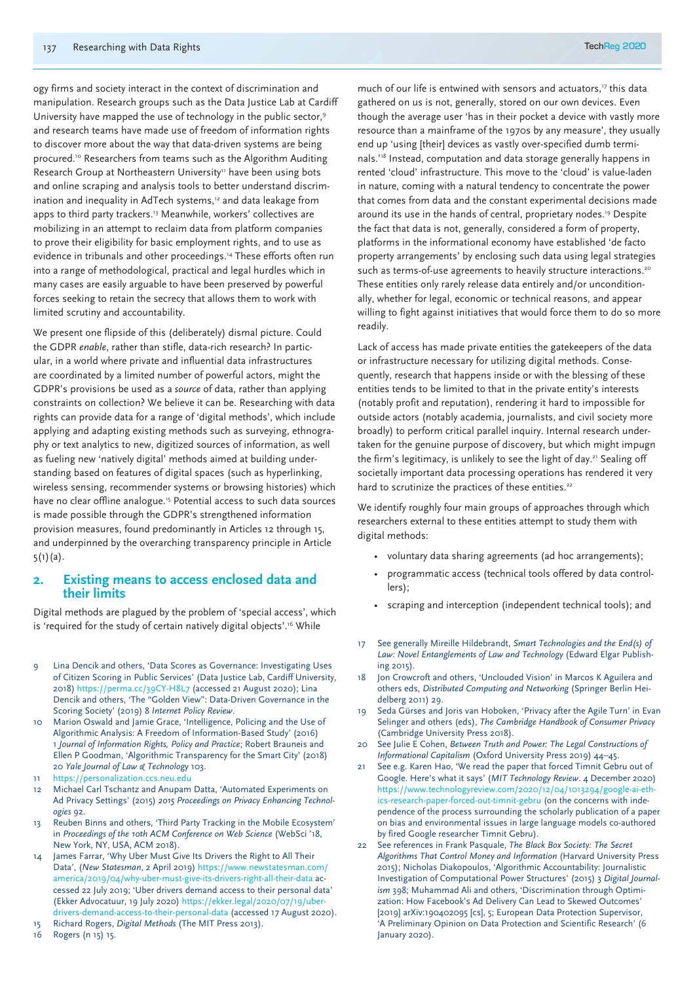ogy firms and society interact in the context of discrimination and manipulation. Research groups such as the Data Justice Lab at Cardiff University have mapped the use of technology in the public sector,<sup>9</sup> and research teams have made use of freedom of information rights to discover more about the way that data-driven systems are being procured.10 Researchers from teams such as the Algorithm Auditing Research Group at Northeastern University<sup>11</sup> have been using bots and online scraping and analysis tools to better understand discrimination and inequality in AdTech systems,<sup>12</sup> and data leakage from apps to third party trackers.<sup>13</sup> Meanwhile, workers' collectives are mobilizing in an attempt to reclaim data from platform companies to prove their eligibility for basic employment rights, and to use as evidence in tribunals and other proceedings.<sup>14</sup> These efforts often run into a range of methodological, practical and legal hurdles which in many cases are easily arguable to have been preserved by powerful forces seeking to retain the secrecy that allows them to work with limited scrutiny and accountability.

We present one flipside of this (deliberately) dismal picture. Could the GDPR *enable*, rather than stifle, data-rich research? In particular, in a world where private and influential data infrastructures are coordinated by a limited number of powerful actors, might the GDPR's provisions be used as a *source* of data, rather than applying constraints on collection? We believe it can be. Researching with data rights can provide data for a range of 'digital methods', which include applying and adapting existing methods such as surveying, ethnography or text analytics to new, digitized sources of information, as well as fueling new 'natively digital' methods aimed at building understanding based on features of digital spaces (such as hyperlinking, wireless sensing, recommender systems or browsing histories) which have no clear offline analogue.<sup>15</sup> Potential access to such data sources is made possible through the GDPR's strengthened information provision measures, found predominantly in Articles 12 through 15, and underpinned by the overarching transparency principle in Article 5(1)(a).

# **2. Existing means to access enclosed data and their limits**

Digital methods are plagued by the problem of 'special access', which is 'required for the study of certain natively digital objects'.<sup>16</sup> While

- 9 Lina Dencik and others, 'Data Scores as Governance: Investigating Uses of Citizen Scoring in Public Services' (Data Justice Lab, Cardiff University, 2018) https://perma.cc/39CY-H8L7 (accessed 21 August 2020); Lina Dencik and others, 'The "Golden View": Data-Driven Governance in the Scoring Society' (2019) 8 *Internet Policy Review*.
- 10 Marion Oswald and Jamie Grace, 'Intelligence, Policing and the Use of Algorithmic Analysis: A Freedom of Information-Based Study' (2016) 1 *Journal of Information Rights, Policy and Practice*; Robert Brauneis and Ellen P Goodman, 'Algorithmic Transparency for the Smart City' (2018) 20 *Yale Journal of Law & Technology* 103.
- https://personalization.ccs.neu.edu
- 12 Michael Carl Tschantz and Anupam Datta, 'Automated Experiments on Ad Privacy Settings' (2015) *2015 Proceedings on Privacy Enhancing Technologies* 92.
- 13 Reuben Binns and others, 'Third Party Tracking in the Mobile Ecosystem' in *Proceedings of the 10th ACM Conference on Web Science* (WebSci '18, New York, NY, USA, ACM 2018).
- 14 James Farrar, 'Why Uber Must Give Its Drivers the Right to All Their Data', (*New Statesman*, 2 April 2019) https://www.newstatesman.com/ america/2019/04/why-uber-must-give-its-drivers-right-all-their-data accessed 22 July 2019; 'Uber drivers demand access to their personal data' (Ekker Advocatuur, 19 July 2020) https://ekker.legal/2020/07/19/uberdrivers-demand-access-to-their-personal-data (accessed 17 August 2020). 15 Richard Rogers, *Digital Methods* (The MIT Press 2013).
- 16 Rogers (n 15) 15.

much of our life is entwined with sensors and actuators,<sup>17</sup> this data gathered on us is not, generally, stored on our own devices. Even though the average user 'has in their pocket a device with vastly more resource than a mainframe of the 1970s by any measure', they usually end up 'using [their] devices as vastly over-specified dumb terminals.'18 Instead, computation and data storage generally happens in rented 'cloud' infrastructure. This move to the 'cloud' is value-laden in nature, coming with a natural tendency to concentrate the power that comes from data and the constant experimental decisions made around its use in the hands of central, proprietary nodes.<sup>19</sup> Despite the fact that data is not, generally, considered a form of property, platforms in the informational economy have established 'de facto property arrangements' by enclosing such data using legal strategies such as terms-of-use agreements to heavily structure interactions.<sup>20</sup> These entities only rarely release data entirely and/or unconditionally, whether for legal, economic or technical reasons, and appear willing to fight against initiatives that would force them to do so more readily.

Lack of access has made private entities the gatekeepers of the data or infrastructure necessary for utilizing digital methods. Consequently, research that happens inside or with the blessing of these entities tends to be limited to that in the private entity's interests (notably profit and reputation), rendering it hard to impossible for outside actors (notably academia, journalists, and civil society more broadly) to perform critical parallel inquiry. Internal research undertaken for the genuine purpose of discovery, but which might impugn the firm's legitimacy, is unlikely to see the light of day.<sup>21</sup> Sealing off societally important data processing operations has rendered it very hard to scrutinize the practices of these entities.<sup>22</sup>

We identify roughly four main groups of approaches through which researchers external to these entities attempt to study them with digital methods:

- voluntary data sharing agreements (ad hoc arrangements);
- programmatic access (technical tools offered by data controllers);
- scraping and interception (independent technical tools); and
- 17 See generally Mireille Hildebrandt, *Smart Technologies and the End(s) of Law: Novel Entanglements of Law and Technology* (Edward Elgar Publishing 2015).
- 18 Jon Crowcroft and others, 'Unclouded Vision' in Marcos K Aguilera and others eds, *Distributed Computing and Networking* (Springer Berlin Heidelberg 2011) 29.
- 19 Seda Gürses and Joris van Hoboken, 'Privacy after the Agile Turn' in Evan Selinger and others (eds), *The Cambridge Handbook of Consumer Privacy* (Cambridge University Press 2018).
- 20 See Julie E Cohen, *Between Truth and Power: The Legal Constructions of Informational Capitalism* (Oxford University Press 2019) 44–45.
- 21 See e.g. Karen Hao, 'We read the paper that forced Timnit Gebru out of Google. Here's what it says' (*MIT Technology Review*. 4 December 2020) https://www.technologyreview.com/2020/12/04/1013294/google-ai-ethics-research-paper-forced-out-timnit-gebru (on the concerns with independence of the process surrounding the scholarly publication of a paper on bias and environmental issues in large language models co-authored by fired Google researcher Timnit Gebru).
- 22 See references in Frank Pasquale, *The Black Box Society: The Secret Algorithms That Control Money and Information* (Harvard University Press 2015); Nicholas Diakopoulos, 'Algorithmic Accountability: Journalistic Investigation of Computational Power Structures' (2015) 3 *Digital Journalism* 398; Muhammad Ali and others, 'Discrimination through Optimization: How Facebook's Ad Delivery Can Lead to Skewed Outcomes' [2019] arXiv:190402095 [cs], 5; European Data Protection Supervisor, 'A Preliminary Opinion on Data Protection and Scientific Research' (6 January 2020).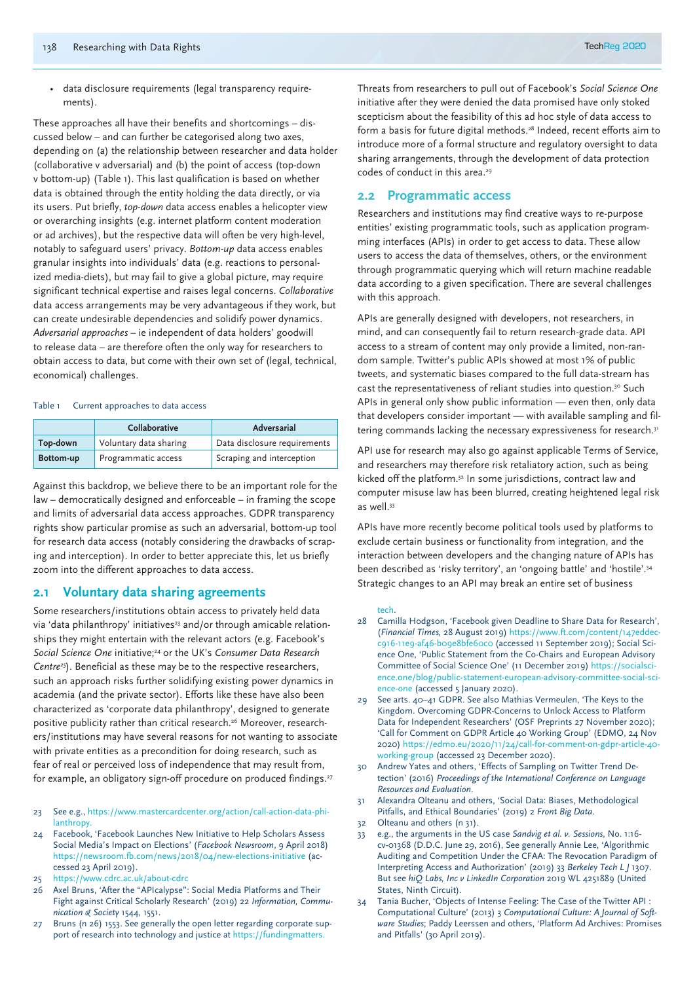• data disclosure requirements (legal transparency requirements).

These approaches all have their benefits and shortcomings – discussed below – and can further be categorised along two axes, depending on (a) the relationship between researcher and data holder (collaborative v adversarial) and (b) the point of access (top-down v bottom-up) (Table 1). This last qualification is based on whether data is obtained through the entity holding the data directly, or via its users. Put briefly, *top-down* data access enables a helicopter view or overarching insights (e.g. internet platform content moderation or ad archives), but the respective data will often be very high-level, notably to safeguard users' privacy. *Bottom-up* data access enables granular insights into individuals' data (e.g. reactions to personalized media-diets), but may fail to give a global picture, may require significant technical expertise and raises legal concerns. *Collaborative* data access arrangements may be very advantageous if they work, but can create undesirable dependencies and solidify power dynamics. *Adversarial approaches* – ie independent of data holders' goodwill to release data – are therefore often the only way for researchers to obtain access to data, but come with their own set of (legal, technical, economical) challenges.

#### Table 1 Current approaches to data access

|           | Collaborative          | Adversarial                  |
|-----------|------------------------|------------------------------|
| Top-down  | Voluntary data sharing | Data disclosure requirements |
| Bottom-up | Programmatic access    | Scraping and interception    |

Against this backdrop, we believe there to be an important role for the law – democratically designed and enforceable – in framing the scope and limits of adversarial data access approaches. GDPR transparency rights show particular promise as such an adversarial, bottom-up tool for research data access (notably considering the drawbacks of scraping and interception). In order to better appreciate this, let us briefly zoom into the different approaches to data access.

#### **2.1 Voluntary data sharing agreements**

Some researchers/institutions obtain access to privately held data via 'data philanthropy' initiatives<sup>23</sup> and/or through amicable relationships they might entertain with the relevant actors (e.g. Facebook's *Social Science One* initiative;<sup>24</sup> or the UK's *Consumer Data Research Centre25*). Beneficial as these may be to the respective researchers, such an approach risks further solidifying existing power dynamics in academia (and the private sector). Efforts like these have also been characterized as 'corporate data philanthropy', designed to generate positive publicity rather than critical research.26 Moreover, researchers/institutions may have several reasons for not wanting to associate with private entities as a precondition for doing research, such as fear of real or perceived loss of independence that may result from, for example, an obligatory sign-off procedure on produced findings.<sup>27</sup>

- 23 See e.g., https://www.mastercardcenter.org/action/call-action-data-phi**lanthropy**
- Facebook, 'Facebook Launches New Initiative to Help Scholars Assess Social Media's Impact on Elections' (*Facebook Newsroom*, 9 April 2018) https://newsroom.fb.com/news/2018/04/new-elections-initiative (accessed 23 April 2019).
- 25 https://www.cdrc.ac.uk/about-cdrc
- 26 Axel Bruns, 'After the "APIcalypse": Social Media Platforms and Their Fight against Critical Scholarly Research' (2019) 22 *Information, Communication & Society* 1544, 1551.
- 27 Bruns (n 26) 1553. See generally the open letter regarding corporate support of research into technology and justice at https://fundingmatters.

Threats from researchers to pull out of Facebook's *Social Science One* initiative after they were denied the data promised have only stoked scepticism about the feasibility of this ad hoc style of data access to form a basis for future digital methods.<sup>28</sup> Indeed, recent efforts aim to introduce more of a formal structure and regulatory oversight to data sharing arrangements, through the development of data protection codes of conduct in this area.<sup>29</sup>

#### **2.2 Programmatic access**

Researchers and institutions may find creative ways to re-purpose entities' existing programmatic tools, such as application programming interfaces (APIs) in order to get access to data. These allow users to access the data of themselves, others, or the environment through programmatic querying which will return machine readable data according to a given specification. There are several challenges with this approach.

APIs are generally designed with developers, not researchers, in mind, and can consequently fail to return research-grade data. API access to a stream of content may only provide a limited, non-random sample. Twitter's public APIs showed at most 1% of public tweets, and systematic biases compared to the full data-stream has cast the representativeness of reliant studies into question.<sup>30</sup> Such APIs in general only show public information — even then, only data that developers consider important — with available sampling and filtering commands lacking the necessary expressiveness for research.<sup>31</sup>

API use for research may also go against applicable Terms of Service, and researchers may therefore risk retaliatory action, such as being kicked off the platform.32 In some jurisdictions, contract law and computer misuse law has been blurred, creating heightened legal risk as well.33

APIs have more recently become political tools used by platforms to exclude certain business or functionality from integration, and the interaction between developers and the changing nature of APIs has been described as 'risky territory', an 'ongoing battle' and 'hostile'.34 Strategic changes to an API may break an entire set of business

#### tech.

- 28 Camilla Hodgson, 'Facebook given Deadline to Share Data for Research', (*Financial Times,* 28 August 2019) https://www.ft.com/content/147eddecc916-11e9-af46-b09e8bfe60c0 (accessed 11 September 2019); Social Science One, 'Public Statement from the Co-Chairs and European Advisory Committee of Social Science One' (11 December 2019) https://socialscience.one/blog/public-statement-european-advisory-committee-social-science-one (accessed 5 January 2020).
- 29 See arts. 40–41 GDPR. See also Mathias Vermeulen, 'The Keys to the Kingdom. Overcoming GDPR-Concerns to Unlock Access to Platform Data for Independent Researchers' (OSF Preprints 27 November 2020); 'Call for Comment on GDPR Article 40 Working Group' (EDMO, 24 Nov 2020) https://edmo.eu/2020/11/24/call-for-comment-on-gdpr-article-40 working-group (accessed 23 December 2020).
- 30 Andrew Yates and others, 'Effects of Sampling on Twitter Trend Detection' (2016) *Proceedings of the International Conference on Language Resources and Evaluation*.
- 31 Alexandra Olteanu and others, 'Social Data: Biases, Methodological Pitfalls, and Ethical Boundaries' (2019) 2 *Front Big Data*.
- 32 Olteanu and others (n 31).
- 33 e.g., the arguments in the US case *Sandvig et al. v. Sessions*, No. 1:16 cv-01368 (D.D.C. June 29, 2016), See generally Annie Lee, 'Algorithmic Auditing and Competition Under the CFAA: The Revocation Paradigm of Interpreting Access and Authorization' (2019) 33 *Berkeley Tech L J* 1307. But see *hiQ Labs, Inc v LinkedIn Corporation* 2019 WL 4251889 (United States, Ninth Circuit).
- 34 Tania Bucher, 'Objects of Intense Feeling: The Case of the Twitter API : Computational Culture' (2013) 3 *Computational Culture: A Journal of Software Studies*; Paddy Leerssen and others, 'Platform Ad Archives: Promises and Pitfalls' (30 April 2019).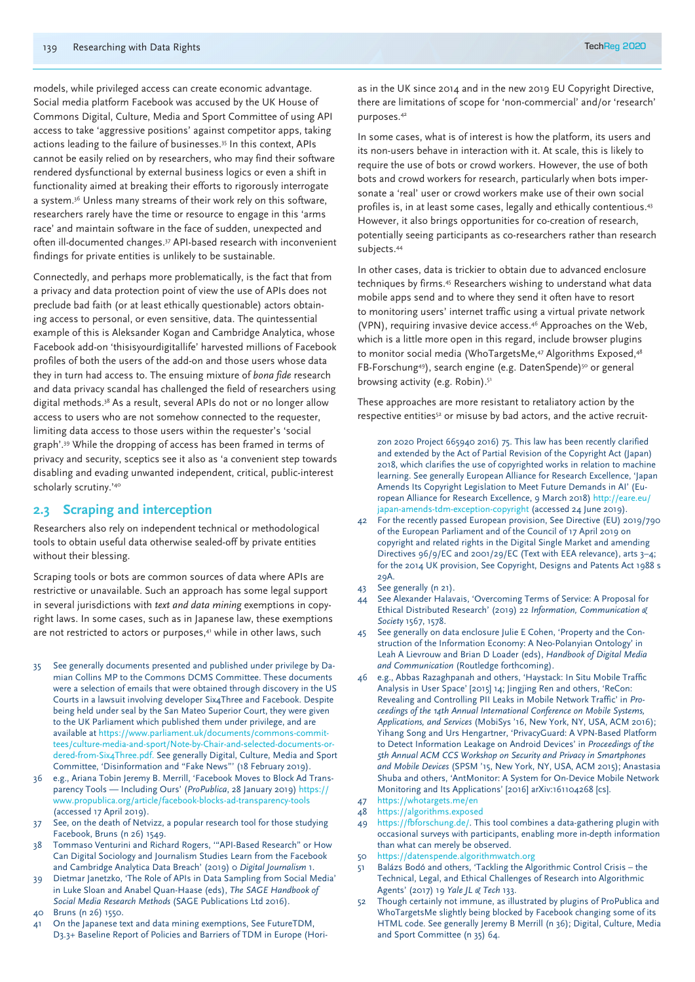models, while privileged access can create economic advantage. Social media platform Facebook was accused by the UK House of Commons Digital, Culture, Media and Sport Committee of using API access to take 'aggressive positions' against competitor apps, taking actions leading to the failure of businesses.35 In this context, APIs cannot be easily relied on by researchers, who may find their software rendered dysfunctional by external business logics or even a shift in functionality aimed at breaking their efforts to rigorously interrogate a system.36 Unless many streams of their work rely on this software, researchers rarely have the time or resource to engage in this 'arms race' and maintain software in the face of sudden, unexpected and often ill-documented changes.37 API-based research with inconvenient findings for private entities is unlikely to be sustainable.

Connectedly, and perhaps more problematically, is the fact that from a privacy and data protection point of view the use of APIs does not preclude bad faith (or at least ethically questionable) actors obtaining access to personal, or even sensitive, data. The quintessential example of this is Aleksander Kogan and Cambridge Analytica, whose Facebook add-on 'thisisyourdigitallife' harvested millions of Facebook profiles of both the users of the add-on and those users whose data they in turn had access to. The ensuing mixture of *bona fide* research and data privacy scandal has challenged the field of researchers using digital methods.38 As a result, several APIs do not or no longer allow access to users who are not somehow connected to the requester, limiting data access to those users within the requester's 'social graph'.39 While the dropping of access has been framed in terms of privacy and security, sceptics see it also as 'a convenient step towards disabling and evading unwanted independent, critical, public-interest scholarly scrutiny.'40

# **2.3 Scraping and interception**

Researchers also rely on independent technical or methodological tools to obtain useful data otherwise sealed-off by private entities without their blessing.

Scraping tools or bots are common sources of data where APIs are restrictive or unavailable. Such an approach has some legal support in several jurisdictions with *text and data mining* exemptions in copyright laws. In some cases, such as in Japanese law, these exemptions are not restricted to actors or purposes,<sup>41</sup> while in other laws, such

- 35 See generally documents presented and published under privilege by Damian Collins MP to the Commons DCMS Committee. These documents were a selection of emails that were obtained through discovery in the US Courts in a lawsuit involving developer Six4Three and Facebook. Despite being held under seal by the San Mateo Superior Court, they were given to the UK Parliament which published them under privilege, and are available at https://www.parliament.uk/documents/commons-committees/culture-media-and-sport/Note-by-Chair-and-selected-documents-ordered-from-Six4Three.pdf. See generally Digital, Culture, Media and Sport Committee, 'Disinformation and "Fake News"' (18 February 2019).
- 36 e.g., Ariana Tobin Jeremy B. Merrill, 'Facebook Moves to Block Ad Transparency Tools — Including Ours' (*ProPublica*, 28 January 2019) https:// www.propublica.org/article/facebook-blocks-ad-transparency-tools (accessed 17 April 2019).
- 37 See, on the death of Netvizz, a popular research tool for those studying Facebook, Bruns (n 26) 1549.
- 38 Tommaso Venturini and Richard Rogers, '"API-Based Research" or How Can Digital Sociology and Journalism Studies Learn from the Facebook and Cambridge Analytica Data Breach' (2019) 0 *Digital Journalism* 1.
- 39 Dietmar Janetzko, 'The Role of APIs in Data Sampling from Social Media' in Luke Sloan and Anabel Quan-Haase (eds), *The SAGE Handbook of Social Media Research Methods* (SAGE Publications Ltd 2016).
- Bruns (n 26) 1550.
- 41 On the Japanese text and data mining exemptions, See FutureTDM, D3.3+ Baseline Report of Policies and Barriers of TDM in Europe (Hori-

as in the UK since 2014 and in the new 2019 EU Copyright Directive, there are limitations of scope for 'non-commercial' and/or 'research' purposes.42

In some cases, what is of interest is how the platform, its users and its non-users behave in interaction with it. At scale, this is likely to require the use of bots or crowd workers. However, the use of both bots and crowd workers for research, particularly when bots impersonate a 'real' user or crowd workers make use of their own social profiles is, in at least some cases, legally and ethically contentious.43 However, it also brings opportunities for co-creation of research, potentially seeing participants as co-researchers rather than research subjects.44

In other cases, data is trickier to obtain due to advanced enclosure techniques by firms.45 Researchers wishing to understand what data mobile apps send and to where they send it often have to resort to monitoring users' internet traffic using a virtual private network (VPN), requiring invasive device access.46 Approaches on the Web, which is a little more open in this regard, include browser plugins to monitor social media (WhoTargetsMe,<sup>47</sup> Algorithms Exposed,<sup>48</sup> FB-Forschung<sup>49</sup>), search engine (e.g. DatenSpende)<sup>50</sup> or general browsing activity (e.g. Robin).<sup>51</sup>

These approaches are more resistant to retaliatory action by the respective entities<sup>52</sup> or misuse by bad actors, and the active recruit-

zon 2020 Project 665940 2016) 75. This law has been recently clarified and extended by the Act of Partial Revision of the Copyright Act (Japan) 2018, which clarifies the use of copyrighted works in relation to machine learning. See generally European Alliance for Research Excellence, 'Japan Amends Its Copyright Legislation to Meet Future Demands in AI' (European Alliance for Research Excellence, 9 March 2018) http://eare.eu/ japan-amends-tdm-exception-copyright (accessed 24 June 2019).

- 42 For the recently passed European provision, See Directive (EU) 2019/790 of the European Parliament and of the Council of 17 April 2019 on copyright and related rights in the Digital Single Market and amending Directives 96/9/EC and 2001/29/EC (Text with EEA relevance), arts 3–4; for the 2014 UK provision, See Copyright, Designs and Patents Act 1988 s 29A.
- 43 See generally (n 21).
- 44 See Alexander Halavais, 'Overcoming Terms of Service: A Proposal for Ethical Distributed Research' (2019) 22 *Information, Communication & Society* 1567, 1578.
- 45 See generally on data enclosure Julie E Cohen, 'Property and the Construction of the Information Economy: A Neo-Polanyian Ontology' in Leah A Lievrouw and Brian D Loader (eds), *Handbook of Digital Media and Communication* (Routledge forthcoming).
- 46 e.g., Abbas Razaghpanah and others, 'Haystack: In Situ Mobile Traffic Analysis in User Space' [2015] 14; Jingjing Ren and others, 'ReCon: Revealing and Controlling PII Leaks in Mobile Network Traffic' in *Proceedings of the 14th Annual International Conference on Mobile Systems, Applications, and Services* (MobiSys '16, New York, NY, USA, ACM 2016); Yihang Song and Urs Hengartner, 'PrivacyGuard: A VPN-Based Platform to Detect Information Leakage on Android Devices' in *Proceedings of the 5th Annual ACM CCS Workshop on Security and Privacy in Smartphones and Mobile Devices* (SPSM '15, New York, NY, USA, ACM 2015); Anastasia Shuba and others, 'AntMonitor: A System for On-Device Mobile Network Monitoring and Its Applications' [2016] arXiv:161104268 [cs].
- 47 https://whotargets.me/en 48 https://algorithms.exposed
- 49 https://fbforschung.de/. This tool combines a data-gathering plugin with occasional surveys with participants, enabling more in-depth information than what can merely be observed.
- 50 https://datenspende.algorithmwatch.org
- 51 Balázs Bodó and others, 'Tackling the Algorithmic Control Crisis the Technical, Legal, and Ethical Challenges of Research into Algorithmic Agents' (2017) 19 *Yale JL & Tech* 133.
- 52 Though certainly not immune, as illustrated by plugins of ProPublica and WhoTargetsMe slightly being blocked by Facebook changing some of its HTML code. See generally Jeremy B Merrill (n 36); Digital, Culture, Media and Sport Committee (n 35) 64.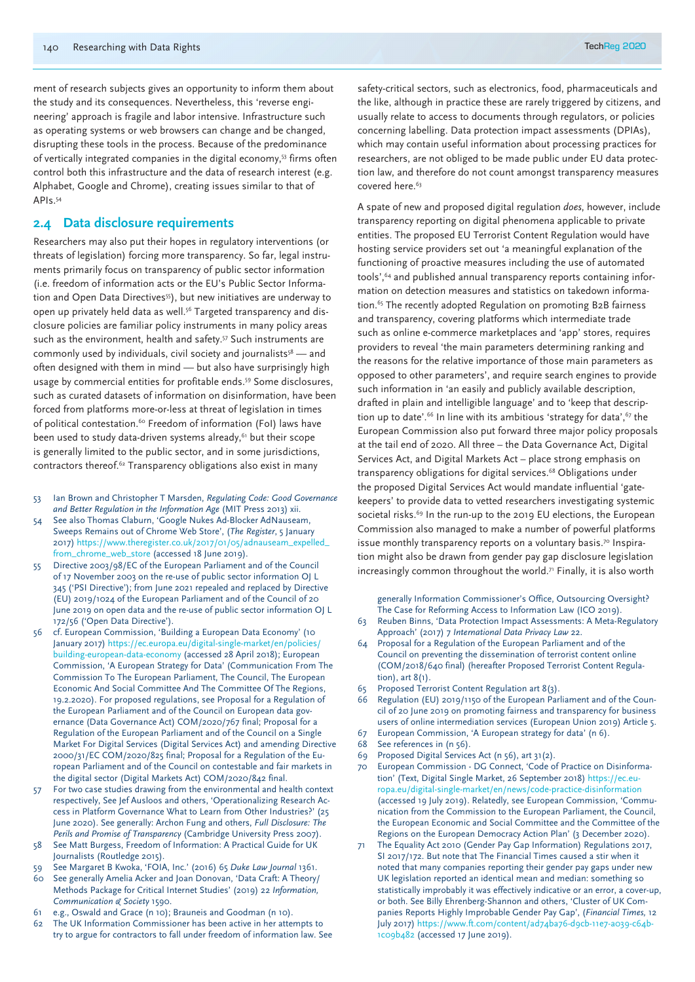ment of research subjects gives an opportunity to inform them about the study and its consequences. Nevertheless, this 'reverse engineering' approach is fragile and labor intensive. Infrastructure such as operating systems or web browsers can change and be changed, disrupting these tools in the process. Because of the predominance of vertically integrated companies in the digital economy,<sup>53</sup> firms often control both this infrastructure and the data of research interest (e.g. Alphabet, Google and Chrome), creating issues similar to that of APIs.54

# **2.4 Data disclosure requirements**

Researchers may also put their hopes in regulatory interventions (or threats of legislation) forcing more transparency. So far, legal instruments primarily focus on transparency of public sector information (i.e. freedom of information acts or the EU's Public Sector Information and Open Data Directives<sup>55</sup>), but new initiatives are underway to open up privately held data as well.<sup>56</sup> Targeted transparency and disclosure policies are familiar policy instruments in many policy areas such as the environment, health and safety.<sup>57</sup> Such instruments are commonly used by individuals, civil society and journalists<sup>58</sup> — and often designed with them in mind — but also have surprisingly high usage by commercial entities for profitable ends.59 Some disclosures, such as curated datasets of information on disinformation, have been forced from platforms more-or-less at threat of legislation in times of political contestation.<sup>60</sup> Freedom of information (FoI) laws have been used to study data-driven systems already,<sup>61</sup> but their scope is generally limited to the public sector, and in some jurisdictions, contractors thereof.62 Transparency obligations also exist in many

- 53 Ian Brown and Christopher T Marsden, *Regulating Code: Good Governance and Better Regulation in the Information Age* (MIT Press 2013) xii.
- 54 See also Thomas Claburn, 'Google Nukes Ad-Blocker AdNauseam, Sweeps Remains out of Chrome Web Store', (*The Register*, 5 January 2017) https://www.theregister.co.uk/2017/01/05/adnauseam\_expelled\_ from\_chrome\_web\_store (accessed 18 June 2019).
- 55 Directive 2003/98/EC of the European Parliament and of the Council of 17 November 2003 on the re-use of public sector information OJ L 345 ('PSI Directive'); from June 2021 repealed and replaced by Directive (EU) 2019/1024 of the European Parliament and of the Council of 20 June 2019 on open data and the re-use of public sector information OJ L 172/56 ('Open Data Directive').
- 56 cf. European Commission, 'Building a European Data Economy' (10 January 2017) https://ec.europa.eu/digital-single-market/en/policies/ building-european-data-economy (accessed 28 April 2018); European Commission, 'A European Strategy for Data' (Communication From The Commission To The European Parliament, The Council, The European Economic And Social Committee And The Committee Of The Regions, 19.2.2020). For proposed regulations, see Proposal for a Regulation of the European Parliament and of the Council on European data governance (Data Governance Act) COM/2020/767 final; Proposal for a Regulation of the European Parliament and of the Council on a Single Market For Digital Services (Digital Services Act) and amending Directive 2000/31/EC COM/2020/825 final; Proposal for a Regulation of the European Parliament and of the Council on contestable and fair markets in the digital sector (Digital Markets Act) COM/2020/842 final.
- 57 For two case studies drawing from the environmental and health context respectively, See Jef Ausloos and others, 'Operationalizing Research Access in Platform Governance What to Learn from Other Industries?' (25 June 2020). See generally: Archon Fung and others, *Full Disclosure: The Perils and Promise of Transparency* (Cambridge University Press 2007).
- 58 See Matt Burgess, Freedom of Information: A Practical Guide for UK Journalists (Routledge 2015).
- 59 See Margaret B Kwoka, 'FOIA, Inc.' (2016) 65 *Duke Law Journal* 1361. 60 See generally Amelia Acker and Joan Donovan, 'Data Craft: A Theory/
- Methods Package for Critical Internet Studies' (2019) 22 *Information, Communication & Society* 1590.
- 61 e.g., Oswald and Grace (n 10); Brauneis and Goodman (n 10).
- 62 The UK Information Commissioner has been active in her attempts to try to argue for contractors to fall under freedom of information law. See

safety-critical sectors, such as electronics, food, pharmaceuticals and the like, although in practice these are rarely triggered by citizens, and usually relate to access to documents through regulators, or policies concerning labelling. Data protection impact assessments (DPIAs), which may contain useful information about processing practices for researchers, are not obliged to be made public under EU data protection law, and therefore do not count amongst transparency measures covered here.<sup>63</sup>

A spate of new and proposed digital regulation *does*, however, include transparency reporting on digital phenomena applicable to private entities. The proposed EU Terrorist Content Regulation would have hosting service providers set out 'a meaningful explanation of the functioning of proactive measures including the use of automated tools',<sup>64</sup> and published annual transparency reports containing information on detection measures and statistics on takedown information.<sup>65</sup> The recently adopted Regulation on promoting B2B fairness and transparency, covering platforms which intermediate trade such as online e-commerce marketplaces and 'app' stores, requires providers to reveal 'the main parameters determining ranking and the reasons for the relative importance of those main parameters as opposed to other parameters', and require search engines to provide such information in 'an easily and publicly available description, drafted in plain and intelligible language' and to 'keep that description up to date'.<sup>66</sup> In line with its ambitious 'strategy for data', <sup>67</sup> the European Commission also put forward three major policy proposals at the tail end of 2020. All three – the Data Governance Act, Digital Services Act, and Digital Markets Act – place strong emphasis on transparency obligations for digital services.68 Obligations under the proposed Digital Services Act would mandate influential 'gatekeepers' to provide data to vetted researchers investigating systemic societal risks.<sup>69</sup> In the run-up to the 2019 EU elections, the European Commission also managed to make a number of powerful platforms issue monthly transparency reports on a voluntary basis.<sup>70</sup> Inspiration might also be drawn from gender pay gap disclosure legislation increasingly common throughout the world. $\overline{r}$  Finally, it is also worth

generally Information Commissioner's Office, Outsourcing Oversight? The Case for Reforming Access to Information Law (ICO 2019).

- 63 Reuben Binns, 'Data Protection Impact Assessments: A Meta-Regulatory Approach' (2017) 7 *International Data Privacy Law* 22.
- 64 Proposal for a Regulation of the European Parliament and of the Council on preventing the dissemination of terrorist content online (COM/2018/640 final) (hereafter Proposed Terrorist Content Regulation), art 8(1).
- 65 Proposed Terrorist Content Regulation art 8(3).
- Regulation (EU) 2019/1150 of the European Parliament and of the Council of 20 June 2019 on promoting fairness and transparency for business users of online intermediation services (European Union 2019) Article 5.
- 67 European Commission, 'A European strategy for data' (n 6).
- 68 See references in (n 56).
- 69 Proposed Digital Services Act (n 56), art 31(2).
- 70 European Commission DG Connect, 'Code of Practice on Disinformation' (Text, Digital Single Market, 26 September 2018) https://ec.europa.eu/digital-single-market/en/news/code-practice-disinformation (accessed 19 July 2019). Relatedly, see European Commission, 'Communication from the Commission to the European Parliament, the Council, the European Economic and Social Committee and the Committee of the Regions on the European Democracy Action Plan' (3 December 2020).
- 71 The Equality Act 2010 (Gender Pay Gap Information) Regulations 2017, SI 2017/172. But note that The Financial Times caused a stir when it noted that many companies reporting their gender pay gaps under new UK legislation reported an identical mean and median: something so statistically improbably it was effectively indicative or an error, a cover-up, or both. See Billy Ehrenberg-Shannon and others, 'Cluster of UK Companies Reports Highly Improbable Gender Pay Gap', (*Financial Times,* 12 July 2017) https://www.ft.com/content/ad74ba76-d9cb-11e7-a039-c64b-1c09b482 (accessed 17 June 2019).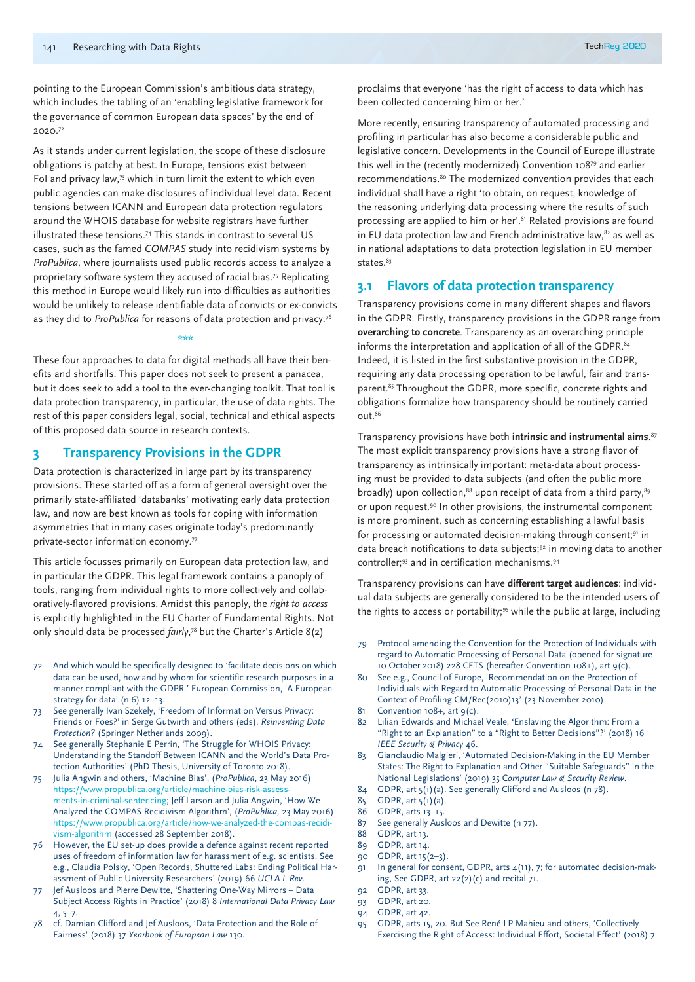pointing to the European Commission's ambitious data strategy, which includes the tabling of an 'enabling legislative framework for the governance of common European data spaces' by the end of 2020.72

As it stands under current legislation, the scope of these disclosure obligations is patchy at best. In Europe, tensions exist between FoI and privacy law,73 which in turn limit the extent to which even public agencies can make disclosures of individual level data. Recent tensions between ICANN and European data protection regulators around the WHOIS database for website registrars have further illustrated these tensions.74 This stands in contrast to several US cases, such as the famed *COMPAS* study into recidivism systems by *ProPublica*, where journalists used public records access to analyze a proprietary software system they accused of racial bias.75 Replicating this method in Europe would likely run into difficulties as authorities would be unlikely to release identifiable data of convicts or ex-convicts as they did to *ProPublica* for reasons of data protection and privacy.76

#### \*\*\*

These four approaches to data for digital methods all have their benefits and shortfalls. This paper does not seek to present a panacea, but it does seek to add a tool to the ever-changing toolkit. That tool is data protection transparency, in particular, the use of data rights. The rest of this paper considers legal, social, technical and ethical aspects of this proposed data source in research contexts.

# **3 Transparency Provisions in the GDPR**

Data protection is characterized in large part by its transparency provisions. These started off as a form of general oversight over the primarily state-affiliated 'databanks' motivating early data protection law, and now are best known as tools for coping with information asymmetries that in many cases originate today's predominantly private-sector information economy.77

This article focusses primarily on European data protection law, and in particular the GDPR. This legal framework contains a panoply of tools, ranging from individual rights to more collectively and collaboratively-flavored provisions. Amidst this panoply, the *right to access* is explicitly highlighted in the EU Charter of Fundamental Rights. Not only should data be processed *fairly*, 78 but the Charter's Article 8(2)

- 72 And which would be specifically designed to 'facilitate decisions on which data can be used, how and by whom for scientific research purposes in a manner compliant with the GDPR.' European Commission, 'A European strategy for data' (n 6) 12–13.
- 73 See generally Ivan Szekely, 'Freedom of Information Versus Privacy: Friends or Foes?' in Serge Gutwirth and others (eds), *Reinventing Data Protection?* (Springer Netherlands 2009).
- See generally Stephanie E Perrin, 'The Struggle for WHOIS Privacy: Understanding the Standoff Between ICANN and the World's Data Protection Authorities' (PhD Thesis, University of Toronto 2018).
- 75 Julia Angwin and others, 'Machine Bias', (*ProPublica*, 23 May 2016) https://www.propublica.org/article/machine-bias-risk-assessments-in-criminal-sentencing; Jeff Larson and Julia Angwin, 'How We Analyzed the COMPAS Recidivism Algorithm', (*ProPublica,* 23 May 2016) https://www.propublica.org/article/how-we-analyzed-the-compas-recidivism-algorithm (accessed 28 September 2018).
- 76 However, the EU set-up does provide a defence against recent reported uses of freedom of information law for harassment of e.g. scientists. See e.g., Claudia Polsky, 'Open Records, Shuttered Labs: Ending Political Harassment of Public University Researchers' (2019) 66 *UCLA L Rev.*
- 77 Jef Ausloos and Pierre Dewitte, 'Shattering One-Way Mirrors Data Subject Access Rights in Practice' (2018) 8 *International Data Privacy Law*  4, 5–7.
- 78 cf. Damian Clifford and Jef Ausloos, 'Data Protection and the Role of Fairness' (2018) 37 *Yearbook of European Law* 130.

proclaims that everyone 'has the right of access to data which has been collected concerning him or her.'

More recently, ensuring transparency of automated processing and profiling in particular has also become a considerable public and legislative concern. Developments in the Council of Europe illustrate this well in the (recently modernized) Convention 10879 and earlier recommendations.<sup>80</sup> The modernized convention provides that each individual shall have a right 'to obtain, on request, knowledge of the reasoning underlying data processing where the results of such processing are applied to him or her'.<sup>81</sup> Related provisions are found in EU data protection law and French administrative law, $82$  as well as in national adaptations to data protection legislation in EU member states.<sup>83</sup>

# **3.1 Flavors of data protection transparency**

Transparency provisions come in many different shapes and flavors in the GDPR. Firstly, transparency provisions in the GDPR range from **overarching to concrete**. Transparency as an overarching principle informs the interpretation and application of all of the GDPR.<sup>84</sup> Indeed, it is listed in the first substantive provision in the GDPR, requiring any data processing operation to be lawful, fair and transparent.<sup>85</sup> Throughout the GDPR, more specific, concrete rights and obligations formalize how transparency should be routinely carried out.86

Transparency provisions have both **intrinsic and instrumental aims**. 87 The most explicit transparency provisions have a strong flavor of transparency as intrinsically important: meta-data about processing must be provided to data subjects (and often the public more broadly) upon collection,<sup>88</sup> upon receipt of data from a third party, $89$ or upon request.90 In other provisions, the instrumental component is more prominent, such as concerning establishing a lawful basis for processing or automated decision-making through consent;<sup>91</sup> in data breach notifications to data subjects;<sup>92</sup> in moving data to another controller;93 and in certification mechanisms.94

Transparency provisions can have **different target audiences**: individual data subjects are generally considered to be the intended users of the rights to access or portability;<sup>95</sup> while the public at large, including

- 79 Protocol amending the Convention for the Protection of Individuals with regard to Automatic Processing of Personal Data (opened for signature 10 October 2018) 228 CETS (hereafter Convention 108+), art 9(c).
- 80 See e.g., Council of Europe, 'Recommendation on the Protection of Individuals with Regard to Automatic Processing of Personal Data in the Context of Profiling CM/Rec(2010)13' (23 November 2010).
- $81$  Convention  $108 +$ , art  $9(c)$ .
- 82 Lilian Edwards and Michael Veale, 'Enslaving the Algorithm: From a "Right to an Explanation" to a "Right to Better Decisions"?' (2018) 16 *IEEE Security & Privacy* 46.
- 83 Gianclaudio Malgieri, 'Automated Decision-Making in the EU Member States: The Right to Explanation and Other "Suitable Safeguards" in the National Legislations' (2019) 35 C*omputer Law & Security Review*.
- 84 GDPR, art 5(1)(a). See generally Clifford and Ausloos (n 78).
- 85 GDPR, art 5(1)(a).
- 86 GDPR, arts 13–15.
- 87 See generally Ausloos and Dewitte (n 77).
- 88 GDPR, art 13.
- 89 GDPR, art 14.
- 90 GDPR, art 15(2–3).
- 91 In general for consent, GDPR, arts 4(11), 7; for automated decision-making, See GDPR, art 22(2)(c) and recital 71.
- 92 GDPR, art 33.
- 93 GDPR, art 20.
- 94 GDPR, art 42.
- 95 GDPR, arts 15, 20. But See René LP Mahieu and others, 'Collectively Exercising the Right of Access: Individual Effort, Societal Effect' (2018) 7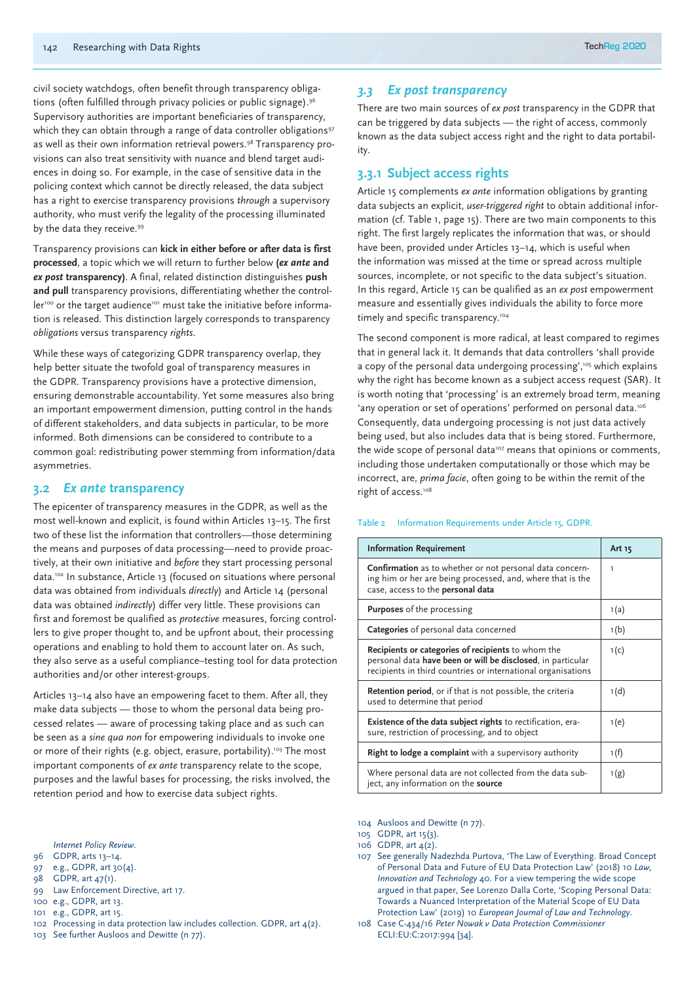civil society watchdogs, often benefit through transparency obligations (often fulfilled through privacy policies or public signage).<sup>96</sup> Supervisory authorities are important beneficiaries of transparency, which they can obtain through a range of data controller obligations<sup>97</sup> as well as their own information retrieval powers.<sup>98</sup> Transparency provisions can also treat sensitivity with nuance and blend target audiences in doing so. For example, in the case of sensitive data in the policing context which cannot be directly released, the data subject has a right to exercise transparency provisions *through* a supervisory authority, who must verify the legality of the processing illuminated by the data they receive.<sup>99</sup>

Transparency provisions can **kick in either before or after data is first processed**, a topic which we will return to further below **(***ex ante* **and**  *ex post* **transparency)**. A final, related distinction distinguishes **push and pull** transparency provisions, differentiating whether the controller<sup>100</sup> or the target audience<sup>101</sup> must take the initiative before information is released. This distinction largely corresponds to transparency *obligations* versus transparency *rights*.

While these ways of categorizing GDPR transparency overlap, they help better situate the twofold goal of transparency measures in the GDPR. Transparency provisions have a protective dimension, ensuring demonstrable accountability. Yet some measures also bring an important empowerment dimension, putting control in the hands of different stakeholders, and data subjects in particular, to be more informed. Both dimensions can be considered to contribute to a common goal: redistributing power stemming from information/data asymmetries.

#### **3.2** *Ex ante* **transparency**

The epicenter of transparency measures in the GDPR, as well as the most well-known and explicit, is found within Articles 13–15. The first two of these list the information that controllers—those determining the means and purposes of data processing—need to provide proactively, at their own initiative and *before* they start processing personal data.102 In substance, Article 13 (focused on situations where personal data was obtained from individuals *directly*) and Article 14 (personal data was obtained *indirectly*) differ very little. These provisions can first and foremost be qualified as *protective* measures, forcing controllers to give proper thought to, and be upfront about, their processing operations and enabling to hold them to account later on. As such, they also serve as a useful compliance–testing tool for data protection authorities and/or other interest-groups.

Articles 13–14 also have an empowering facet to them. After all, they make data subjects — those to whom the personal data being processed relates — aware of processing taking place and as such can be seen as a *sine qua non* for empowering individuals to invoke one or more of their rights (e.g. object, erasure, portability).<sup>103</sup> The most important components of *ex ante* transparency relate to the scope, purposes and the lawful bases for processing, the risks involved, the retention period and how to exercise data subject rights.

*Internet Policy Review*.

- 96 GDPR, arts 13–14.
- 97 e.g., GDPR, art 30(4).
- 98 GDPR, art 47(1).
- 99 Law Enforcement Directive, art 17.
- 100 e.g., GDPR, art 13.
- 101 e.g., GDPR, art 15.
- 102 Processing in data protection law includes collection. GDPR, art 4(2).
- 103 See further Ausloos and Dewitte (n 77).

#### *3.3 Ex post transparency*

There are two main sources of *ex post* transparency in the GDPR that can be triggered by data subjects — the right of access, commonly known as the data subject access right and the right to data portability.

# **3.3.1 Subject access rights**

Article 15 complements *ex ante* information obligations by granting data subjects an explicit, *user-triggered right* to obtain additional information (cf. Table 1, page 15). There are two main components to this right. The first largely replicates the information that was, or should have been, provided under Articles 13–14, which is useful when the information was missed at the time or spread across multiple sources, incomplete, or not specific to the data subject's situation. In this regard, Article 15 can be qualified as an *ex post* empowerment measure and essentially gives individuals the ability to force more timely and specific transparency.<sup>104</sup>

The second component is more radical, at least compared to regimes that in general lack it. It demands that data controllers 'shall provide a copy of the personal data undergoing processing',<sup>105</sup> which explains why the right has become known as a subject access request (SAR). It is worth noting that 'processing' is an extremely broad term, meaning 'any operation or set of operations' performed on personal data.<sup>106</sup> Consequently, data undergoing processing is not just data actively being used, but also includes data that is being stored. Furthermore, the wide scope of personal data<sup>107</sup> means that opinions or comments, including those undertaken computationally or those which may be incorrect, are, *prima facie*, often going to be within the remit of the right of access.<sup>108</sup>

#### Table 2 Information Requirements under Article 15, GDPR.

| <b>Information Requirement</b>                                                                                                                                                    | Art 15 |
|-----------------------------------------------------------------------------------------------------------------------------------------------------------------------------------|--------|
| <b>Confirmation</b> as to whether or not personal data concern-<br>ing him or her are being processed, and, where that is the<br>case, access to the personal data                | ı      |
| <b>Purposes</b> of the processing                                                                                                                                                 | 1(a)   |
| Categories of personal data concerned                                                                                                                                             | 1(b)   |
| Recipients or categories of recipients to whom the<br>personal data have been or will be disclosed, in particular<br>recipients in third countries or international organisations | 1(c)   |
| Retention period, or if that is not possible, the criteria<br>used to determine that period                                                                                       | 1(d)   |
| <b>Existence of the data subject rights</b> to rectification, era-<br>sure, restriction of processing, and to object                                                              | 1(e)   |
| Right to lodge a complaint with a supervisory authority                                                                                                                           | 1 (f)  |
| Where personal data are not collected from the data sub-<br>ject, any information on the source                                                                                   | 1(g)   |

104 Ausloos and Dewitte (n 77).

- 107 See generally Nadezhda Purtova, 'The Law of Everything. Broad Concept of Personal Data and Future of EU Data Protection Law' (2018) 10 *Law, Innovation and Technology* 40. For a view tempering the wide scope argued in that paper, See Lorenzo Dalla Corte, 'Scoping Personal Data: Towards a Nuanced Interpretation of the Material Scope of EU Data Protection Law' (2019) 10 *European Journal of Law and Technology*.
- 108 Case C-434/16 *Peter Nowak v Data Protection Commissioner* ECLI:EU:C:2017:994 [34].

<sup>105</sup> GDPR, art 15(3).

<sup>106</sup> GDPR,  $art A(2)$ .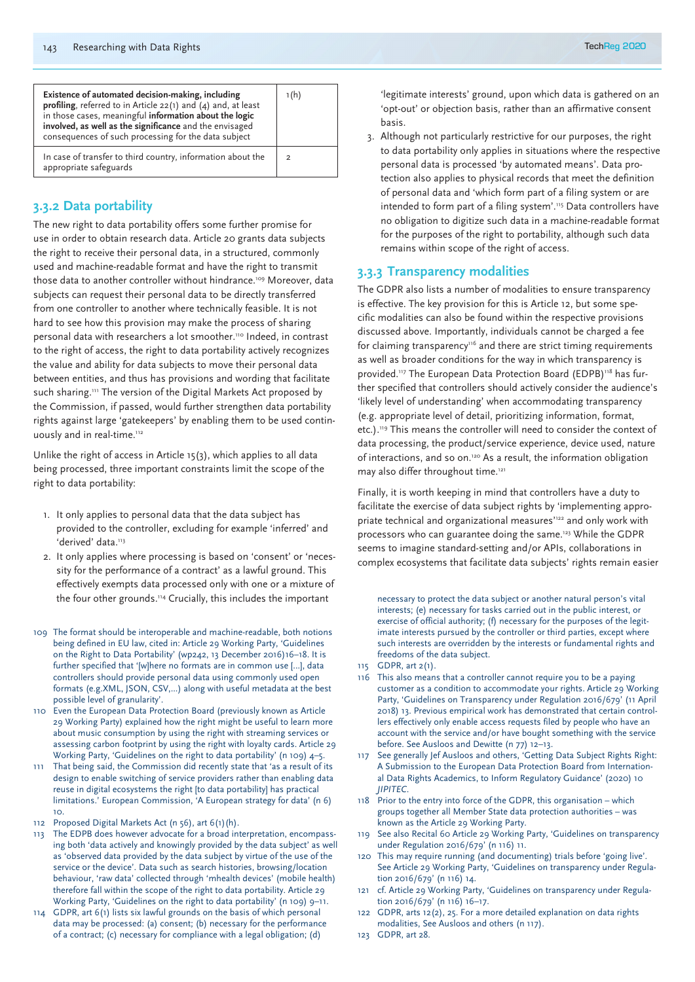| Existence of automated decision-making, including<br>profiling, referred to in Article $22(1)$ and $(4)$ and, at least<br>in those cases, meaningful information about the logic<br>involved, as well as the significance and the envisaged<br>consequences of such processing for the data subject | 1(h)           |
|-----------------------------------------------------------------------------------------------------------------------------------------------------------------------------------------------------------------------------------------------------------------------------------------------------|----------------|
| In case of transfer to third country, information about the<br>appropriate safeguards                                                                                                                                                                                                               | $\overline{2}$ |

# **3.3.2 Data portability**

The new right to data portability offers some further promise for use in order to obtain research data. Article 20 grants data subjects the right to receive their personal data, in a structured, commonly used and machine-readable format and have the right to transmit those data to another controller without hindrance.<sup>109</sup> Moreover, data subjects can request their personal data to be directly transferred from one controller to another where technically feasible. It is not hard to see how this provision may make the process of sharing personal data with researchers a lot smoother.110 Indeed, in contrast to the right of access, the right to data portability actively recognizes the value and ability for data subjects to move their personal data between entities, and thus has provisions and wording that facilitate such sharing.<sup>111</sup> The version of the Digital Markets Act proposed by the Commission, if passed, would further strengthen data portability rights against large 'gatekeepers' by enabling them to be used continuously and in real-time.<sup>112</sup>

Unlike the right of access in Article 15(3), which applies to all data being processed, three important constraints limit the scope of the right to data portability:

- 1. It only applies to personal data that the data subject has provided to the controller, excluding for example 'inferred' and 'derived' data.<sup>113</sup>
- 2. It only applies where processing is based on 'consent' or 'necessity for the performance of a contract' as a lawful ground. This effectively exempts data processed only with one or a mixture of the four other grounds.114 Crucially, this includes the important
- 109 The format should be interoperable and machine-readable, both notions being defined in EU law, cited in: Article 29 Working Party, 'Guidelines on the Right to Data Portability' (wp242, 13 December 2016)16–18. It is further specified that '[w]here no formats are in common use [...], data controllers should provide personal data using commonly used open formats (e.g.XML, JSON, CSV,...) along with useful metadata at the best possible level of granularity'.
- 110 Even the European Data Protection Board (previously known as Article 29 Working Party) explained how the right might be useful to learn more about music consumption by using the right with streaming services or assessing carbon footprint by using the right with loyalty cards. Article 29 Working Party, 'Guidelines on the right to data portability' (n 109) 4–5.
- 111 That being said, the Commission did recently state that 'as a result of its design to enable switching of service providers rather than enabling data reuse in digital ecosystems the right [to data portability] has practical limitations.' European Commission, 'A European strategy for data' (n 6) 10.
- 112 Proposed Digital Markets Act (n 56), art 6(1)(h).
- 113 The EDPB does however advocate for a broad interpretation, encompassing both 'data actively and knowingly provided by the data subject' as well as 'observed data provided by the data subject by virtue of the use of the service or the device'. Data such as search histories, browsing/location behaviour, 'raw data' collected through 'mhealth devices' (mobile health) therefore fall within the scope of the right to data portability. Article 29 Working Party, 'Guidelines on the right to data portability' (n 109) 9–11.
- 114 GDPR, art 6(1) lists six lawful grounds on the basis of which personal data may be processed: (a) consent; (b) necessary for the performance of a contract; (c) necessary for compliance with a legal obligation; (d)

3. Although not particularly restrictive for our purposes, the right to data portability only applies in situations where the respective personal data is processed 'by automated means'. Data protection also applies to physical records that meet the definition of personal data and 'which form part of a filing system or are intended to form part of a filing system'.115 Data controllers have no obligation to digitize such data in a machine-readable format for the purposes of the right to portability, although such data remains within scope of the right of access.

## **3.3.3 Transparency modalities**

The GDPR also lists a number of modalities to ensure transparency is effective. The key provision for this is Article 12, but some specific modalities can also be found within the respective provisions discussed above. Importantly, individuals cannot be charged a fee for claiming transparency<sup>116</sup> and there are strict timing requirements as well as broader conditions for the way in which transparency is provided.<sup>117</sup> The European Data Protection Board (EDPB)<sup>118</sup> has further specified that controllers should actively consider the audience's 'likely level of understanding' when accommodating transparency (e.g. appropriate level of detail, prioritizing information, format, etc.).119 This means the controller will need to consider the context of data processing, the product/service experience, device used, nature of interactions, and so on.120 As a result, the information obligation may also differ throughout time.<sup>121</sup>

Finally, it is worth keeping in mind that controllers have a duty to facilitate the exercise of data subject rights by 'implementing appropriate technical and organizational measures'122 and only work with processors who can guarantee doing the same.<sup>123</sup> While the GDPR seems to imagine standard-setting and/or APIs, collaborations in complex ecosystems that facilitate data subjects' rights remain easier

necessary to protect the data subject or another natural person's vital interests; (e) necessary for tasks carried out in the public interest, or exercise of official authority; (f) necessary for the purposes of the legitimate interests pursued by the controller or third parties, except where such interests are overridden by the interests or fundamental rights and freedoms of the data subject.

- 115 GDPR, art 2(1).
- 116 This also means that a controller cannot require you to be a paying customer as a condition to accommodate your rights. Article 29 Working Party, 'Guidelines on Transparency under Regulation 2016/679' (11 April 2018) 13. Previous empirical work has demonstrated that certain controllers effectively only enable access requests filed by people who have an account with the service and/or have bought something with the service before. See Ausloos and Dewitte (n 77) 12–13.
- 117 See generally Jef Ausloos and others, 'Getting Data Subject Rights Right: A Submission to the European Data Protection Board from International Data Rights Academics, to Inform Regulatory Guidance' (2020) 10 *JIPITEC*.
- 118 Prior to the entry into force of the GDPR, this organisation which groups together all Member State data protection authorities – was known as the Article 29 Working Party.
- 119 See also Recital 60 Article 29 Working Party, 'Guidelines on transparency under Regulation 2016/679' (n 116) 11.
- 120 This may require running (and documenting) trials before 'going live'. See Article 29 Working Party, 'Guidelines on transparency under Regulation 2016/679' (n 116) 14.
- 121 cf. Article 29 Working Party, 'Guidelines on transparency under Regulation 2016/679' (n 116) 16–17.
- 122 GDPR, arts 12(2), 25. For a more detailed explanation on data rights modalities, See Ausloos and others (n 117).
- 123 GDPR, art 28.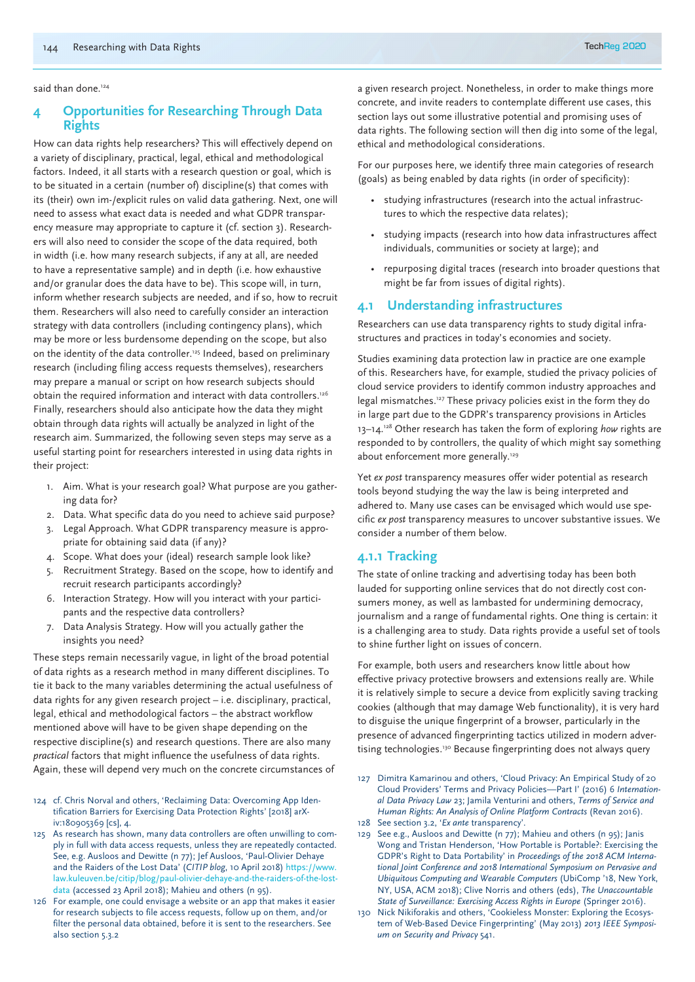said than done.<sup>124</sup>

# **4 Opportunities for Researching Through Data Rights**

How can data rights help researchers? This will effectively depend on a variety of disciplinary, practical, legal, ethical and methodological factors. Indeed, it all starts with a research question or goal, which is to be situated in a certain (number of) discipline(s) that comes with its (their) own im-/explicit rules on valid data gathering. Next, one will need to assess what exact data is needed and what GDPR transparency measure may appropriate to capture it (cf. section 3). Researchers will also need to consider the scope of the data required, both in width (i.e. how many research subjects, if any at all, are needed to have a representative sample) and in depth (i.e. how exhaustive and/or granular does the data have to be). This scope will, in turn, inform whether research subjects are needed, and if so, how to recruit them. Researchers will also need to carefully consider an interaction strategy with data controllers (including contingency plans), which may be more or less burdensome depending on the scope, but also on the identity of the data controller.125 Indeed, based on preliminary research (including filing access requests themselves), researchers may prepare a manual or script on how research subjects should obtain the required information and interact with data controllers.<sup>126</sup> Finally, researchers should also anticipate how the data they might obtain through data rights will actually be analyzed in light of the research aim. Summarized, the following seven steps may serve as a useful starting point for researchers interested in using data rights in their project:

- 1. Aim. What is your research goal? What purpose are you gathering data for?
- 2. Data. What specific data do you need to achieve said purpose?
- 3. Legal Approach. What GDPR transparency measure is appropriate for obtaining said data (if any)?
- 4. Scope. What does your (ideal) research sample look like?
- 5. Recruitment Strategy. Based on the scope, how to identify and recruit research participants accordingly?
- 6. Interaction Strategy. How will you interact with your participants and the respective data controllers?
- 7. Data Analysis Strategy. How will you actually gather the insights you need?

These steps remain necessarily vague, in light of the broad potential of data rights as a research method in many different disciplines. To tie it back to the many variables determining the actual usefulness of data rights for any given research project – i.e. disciplinary, practical, legal, ethical and methodological factors – the abstract workflow mentioned above will have to be given shape depending on the respective discipline(s) and research questions. There are also many *practical* factors that might influence the usefulness of data rights. Again, these will depend very much on the concrete circumstances of

- 124 cf. Chris Norval and others, 'Reclaiming Data: Overcoming App Identification Barriers for Exercising Data Protection Rights' [2018] arXiv:180905369 [cs], 4.
- 125 As research has shown, many data controllers are often unwilling to comply in full with data access requests, unless they are repeatedly contacted. See, e.g. Ausloos and Dewitte (n 77); Jef Ausloos, 'Paul-Olivier Dehaye and the Raiders of the Lost Data' (*CITIP blog*, 10 April 2018) https://www. law.kuleuven.be/citip/blog/paul-olivier-dehaye-and-the-raiders-of-the-lostdata (accessed 23 April 2018); Mahieu and others (n 95).
- 126 For example, one could envisage a website or an app that makes it easier for research subjects to file access requests, follow up on them, and/or filter the personal data obtained, before it is sent to the researchers. See also section 5.3.2

a given research project. Nonetheless, in order to make things more concrete, and invite readers to contemplate different use cases, this section lays out some illustrative potential and promising uses of data rights. The following section will then dig into some of the legal, ethical and methodological considerations.

For our purposes here, we identify three main categories of research (goals) as being enabled by data rights (in order of specificity):

- studying infrastructures (research into the actual infrastructures to which the respective data relates);
- studying impacts (research into how data infrastructures affect individuals, communities or society at large); and
- repurposing digital traces (research into broader questions that might be far from issues of digital rights).

# **4.1 Understanding infrastructures**

Researchers can use data transparency rights to study digital infrastructures and practices in today's economies and society.

Studies examining data protection law in practice are one example of this. Researchers have, for example, studied the privacy policies of cloud service providers to identify common industry approaches and legal mismatches.127 These privacy policies exist in the form they do in large part due to the GDPR's transparency provisions in Articles 13–14.128 Other research has taken the form of exploring *how* rights are responded to by controllers, the quality of which might say something about enforcement more generally.<sup>129</sup>

Yet *ex post* transparency measures offer wider potential as research tools beyond studying the way the law is being interpreted and adhered to. Many use cases can be envisaged which would use specific *ex post* transparency measures to uncover substantive issues. We consider a number of them below.

# **4.1.1 Tracking**

The state of online tracking and advertising today has been both lauded for supporting online services that do not directly cost consumers money, as well as lambasted for undermining democracy, journalism and a range of fundamental rights. One thing is certain: it is a challenging area to study. Data rights provide a useful set of tools to shine further light on issues of concern.

For example, both users and researchers know little about how effective privacy protective browsers and extensions really are. While it is relatively simple to secure a device from explicitly saving tracking cookies (although that may damage Web functionality), it is very hard to disguise the unique fingerprint of a browser, particularly in the presence of advanced fingerprinting tactics utilized in modern advertising technologies.<sup>130</sup> Because fingerprinting does not always query

- 127 Dimitra Kamarinou and others, 'Cloud Privacy: An Empirical Study of 20 Cloud Providers' Terms and Privacy Policies—Part I' (2016) 6 *International Data Privacy Law* 23; Jamila Venturini and others, *Terms of Service and Human Rights: An Analysis of Online Platform Contracts* (Revan 2016). 128 See section 3.2, '*Ex ante* transparency'.
- 
- 129 See e.g., Ausloos and Dewitte (n 77); Mahieu and others (n 95); Janis Wong and Tristan Henderson, 'How Portable is Portable?: Exercising the GDPR's Right to Data Portability' in *Proceedings of the 2018 ACM International Joint Conference and 2018 International Symposium on Pervasive and Ubiquitous Computing and Wearable Computers* (UbiComp '18, New York, NY, USA, ACM 2018); Clive Norris and others (eds), *The Unaccountable State of Surveillance: Exercising Access Rights in Europe* (Springer 2016).
- 130 Nick Nikiforakis and others, 'Cookieless Monster: Exploring the Ecosystem of Web-Based Device Fingerprinting' (May 2013) *2013 IEEE Symposium on Security and Privacy* 541.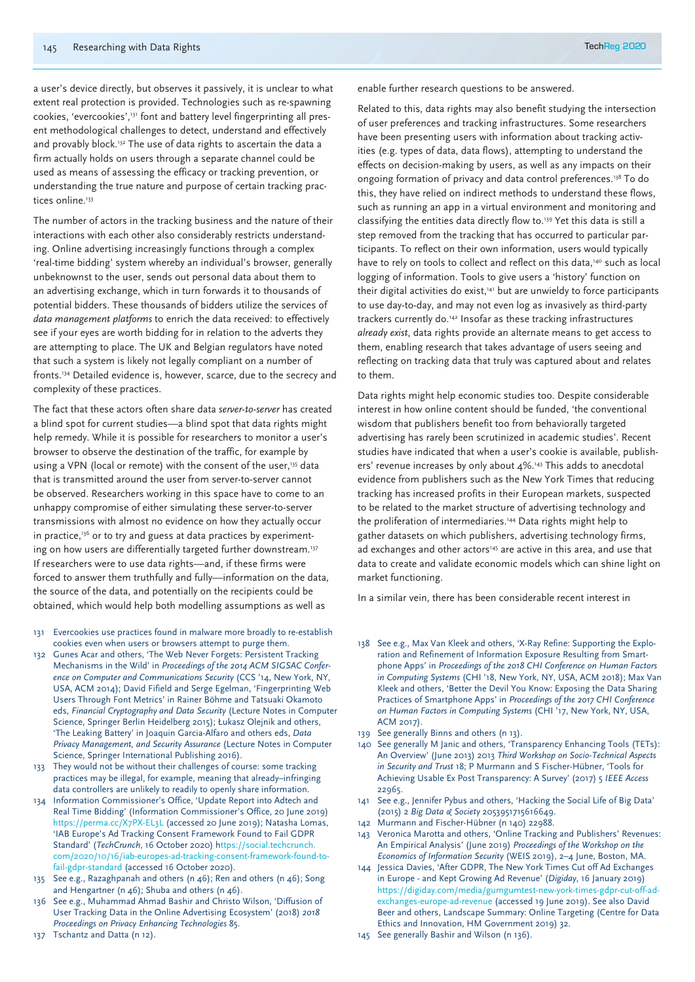a user's device directly, but observes it passively, it is unclear to what extent real protection is provided. Technologies such as re-spawning cookies, 'evercookies',131 font and battery level fingerprinting all present methodological challenges to detect, understand and effectively and provably block.<sup>132</sup> The use of data rights to ascertain the data a firm actually holds on users through a separate channel could be used as means of assessing the efficacy or tracking prevention, or understanding the true nature and purpose of certain tracking practices online.<sup>133</sup>

The number of actors in the tracking business and the nature of their interactions with each other also considerably restricts understanding. Online advertising increasingly functions through a complex 'real-time bidding' system whereby an individual's browser, generally unbeknownst to the user, sends out personal data about them to an advertising exchange, which in turn forwards it to thousands of potential bidders. These thousands of bidders utilize the services of *data management platforms* to enrich the data received: to effectively see if your eyes are worth bidding for in relation to the adverts they are attempting to place. The UK and Belgian regulators have noted that such a system is likely not legally compliant on a number of fronts.134 Detailed evidence is, however, scarce, due to the secrecy and complexity of these practices.

The fact that these actors often share data *server-to-server* has created a blind spot for current studies—a blind spot that data rights might help remedy. While it is possible for researchers to monitor a user's browser to observe the destination of the traffic, for example by using a VPN (local or remote) with the consent of the user,<sup>135</sup> data that is transmitted around the user from server-to-server cannot be observed. Researchers working in this space have to come to an unhappy compromise of either simulating these server-to-server transmissions with almost no evidence on how they actually occur in practice, $136$  or to try and guess at data practices by experimenting on how users are differentially targeted further downstream.<sup>137</sup> If researchers were to use data rights—and, if these firms were forced to answer them truthfully and fully—information on the data, the source of the data, and potentially on the recipients could be obtained, which would help both modelling assumptions as well as

- 131 Evercookies use practices found in malware more broadly to re-establish cookies even when users or browsers attempt to purge them.
- 132 Gunes Acar and others, 'The Web Never Forgets: Persistent Tracking Mechanisms in the Wild' in *Proceedings of the 2014 ACM SIGSAC Conference on Computer and Communications Security* (CCS '14, New York, NY, USA, ACM 2014); David Fifield and Serge Egelman, 'Fingerprinting Web Users Through Font Metrics' in Rainer Böhme and Tatsuaki Okamoto eds, *Financial Cryptography and Data Security* (Lecture Notes in Computer Science, Springer Berlin Heidelberg 2015); Łukasz Olejnik and others, 'The Leaking Battery' in Joaquin Garcia-Alfaro and others eds, *Data Privacy Management, and Security Assurance* (Lecture Notes in Computer Science, Springer International Publishing 2016).
- 133 They would not be without their challenges of course: some tracking practices may be illegal, for example, meaning that already–infringing data controllers are unlikely to readily to openly share information.
- 134 Information Commissioner's Office, 'Update Report into Adtech and Real Time Bidding' (Information Commissioner's Office, 20 June 2019) https://perma.cc/X7PX-EL3L (accessed 20 June 2019); Natasha Lomas, 'IAB Europe's Ad Tracking Consent Framework Found to Fail GDPR Standard' (*TechCrunch*, 16 October 2020) https://social.techcrunch. com/2020/10/16/iab-europes-ad-tracking-consent-framework-found-tofail-gdpr-standard (accessed 16 October 2020).
- 135 See e.g., Razaghpanah and others (n 46); Ren and others (n 46); Song and Hengartner (n 46); Shuba and others (n 46).
- 136 See e.g., Muhammad Ahmad Bashir and Christo Wilson, 'Diffusion of User Tracking Data in the Online Advertising Ecosystem' (2018) *2018 Proceedings on Privacy Enhancing Technologies* 85.
- 137 Tschantz and Datta (n 12).

enable further research questions to be answered.

Related to this, data rights may also benefit studying the intersection of user preferences and tracking infrastructures. Some researchers have been presenting users with information about tracking activities (e.g. types of data, data flows), attempting to understand the effects on decision-making by users, as well as any impacts on their ongoing formation of privacy and data control preferences.<sup>138</sup> To do this, they have relied on indirect methods to understand these flows, such as running an app in a virtual environment and monitoring and classifying the entities data directly flow to.<sup>139</sup> Yet this data is still a step removed from the tracking that has occurred to particular participants. To reflect on their own information, users would typically have to rely on tools to collect and reflect on this data,<sup>140</sup> such as local logging of information. Tools to give users a 'history' function on their digital activities do exist,<sup>141</sup> but are unwieldy to force participants to use day-to-day, and may not even log as invasively as third-party trackers currently do.142 Insofar as these tracking infrastructures *already exist*, data rights provide an alternate means to get access to them, enabling research that takes advantage of users seeing and reflecting on tracking data that truly was captured about and relates to them.

Data rights might help economic studies too. Despite considerable interest in how online content should be funded, 'the conventional wisdom that publishers benefit too from behaviorally targeted advertising has rarely been scrutinized in academic studies'. Recent studies have indicated that when a user's cookie is available, publishers' revenue increases by only about 4%.<sup>143</sup> This adds to anecdotal evidence from publishers such as the New York Times that reducing tracking has increased profits in their European markets, suspected to be related to the market structure of advertising technology and the proliferation of intermediaries.<sup>144</sup> Data rights might help to gather datasets on which publishers, advertising technology firms, ad exchanges and other actors<sup>145</sup> are active in this area, and use that data to create and validate economic models which can shine light on market functioning.

In a similar vein, there has been considerable recent interest in

- 138 See e.g., Max Van Kleek and others, 'X-Ray Refine: Supporting the Exploration and Refinement of Information Exposure Resulting from Smartphone Apps' in *Proceedings of the 2018 CHI Conference on Human Factors in Computing Systems* (CHI '18, New York, NY, USA, ACM 2018); Max Van Kleek and others, 'Better the Devil You Know: Exposing the Data Sharing Practices of Smartphone Apps' in *Proceedings of the 2017 CHI Conference on Human Factors in Computing Systems* (CHI '17, New York, NY, USA, ACM 2017).
- 139 See generally Binns and others (n 13).
- 140 See generally M Janic and others, 'Transparency Enhancing Tools (TETs): An Overview' (June 2013) 2013 *Third Workshop on Socio-Technical Aspects in Security and Trust* 18; P Murmann and S Fischer-Hübner, 'Tools for Achieving Usable Ex Post Transparency: A Survey' (2017) 5 *IEEE Access* 22965.
- 141 See e.g., Jennifer Pybus and others, 'Hacking the Social Life of Big Data' (2015) 2 *Big Data & Society* 2053951715616649.
- 142 Murmann and Fischer-Hübner (n 140) 22988.
- 143 Veronica Marotta and others, 'Online Tracking and Publishers' Revenues: An Empirical Analysis' (June 2019) *Proceedings of the Workshop on the Economics of Information Security* (WEIS 2019), 2–4 June, Boston, MA.
- 144 Jessica Davies, 'After GDPR, The New York Times Cut off Ad Exchanges in Europe - and Kept Growing Ad Revenue' (*Digiday*, 16 January 2019) https://digiday.com/media/gumgumtest-new-york-times-gdpr-cut-off-adexchanges-europe-ad-revenue (accessed 19 June 2019). See also David Beer and others, Landscape Summary: Online Targeting (Centre for Data Ethics and Innovation, HM Government 2019) 32.
- 145 See generally Bashir and Wilson (n 136).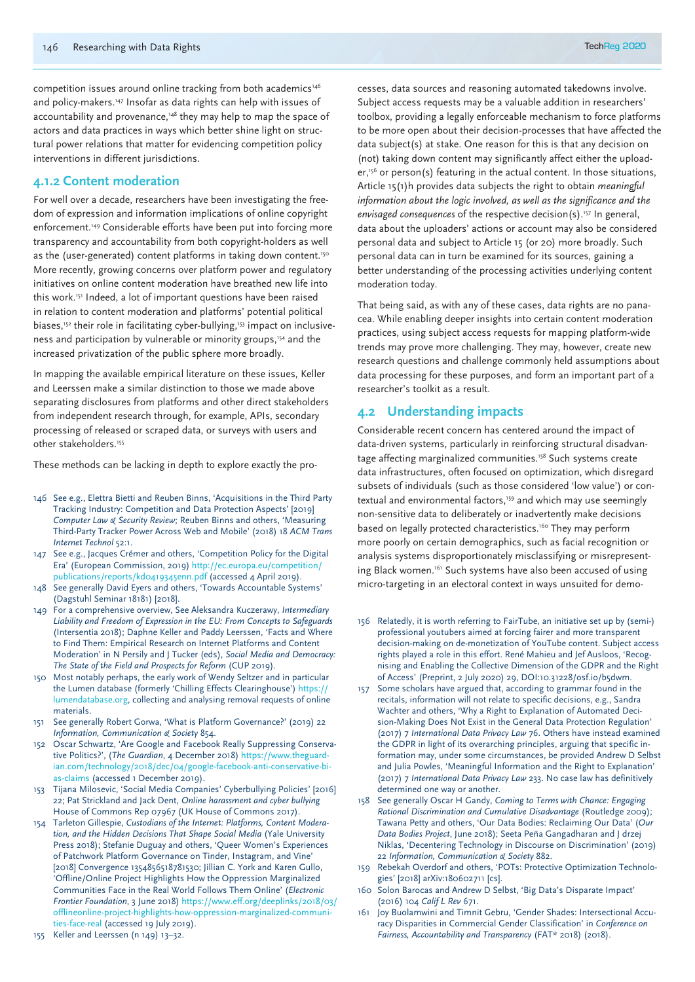competition issues around online tracking from both academics<sup>146</sup> and policy-makers.<sup>147</sup> Insofar as data rights can help with issues of accountability and provenance,<sup>148</sup> they may help to map the space of actors and data practices in ways which better shine light on structural power relations that matter for evidencing competition policy interventions in different jurisdictions.

## **4.1.2 Content moderation**

For well over a decade, researchers have been investigating the freedom of expression and information implications of online copyright enforcement.<sup>149</sup> Considerable efforts have been put into forcing more transparency and accountability from both copyright-holders as well as the (user-generated) content platforms in taking down content.<sup>150</sup> More recently, growing concerns over platform power and regulatory initiatives on online content moderation have breathed new life into this work.151 Indeed, a lot of important questions have been raised in relation to content moderation and platforms' potential political biases,<sup>152</sup> their role in facilitating cyber-bullying,<sup>153</sup> impact on inclusiveness and participation by vulnerable or minority groups,<sup>154</sup> and the increased privatization of the public sphere more broadly.

In mapping the available empirical literature on these issues, Keller and Leerssen make a similar distinction to those we made above separating disclosures from platforms and other direct stakeholders from independent research through, for example, APIs, secondary processing of released or scraped data, or surveys with users and other stakeholders.<sup>155</sup>

These methods can be lacking in depth to explore exactly the pro-

- 146 See e.g., Elettra Bietti and Reuben Binns, 'Acquisitions in the Third Party Tracking Industry: Competition and Data Protection Aspects' [2019] *Computer Law & Security Review*; Reuben Binns and others, 'Measuring Third-Party Tracker Power Across Web and Mobile' (2018) 18 *ACM Trans Internet Technol* 52:1.
- 147 See e.g., Jacques Crémer and others, 'Competition Policy for the Digital Era' (European Commission, 2019) http://ec.europa.eu/competition/ publications/reports/kd0419345enn.pdf (accessed 4 April 2019).
- 148 See generally David Eyers and others, 'Towards Accountable Systems' (Dagstuhl Seminar 18181) [2018].
- 149 For a comprehensive overview, See Aleksandra Kuczerawy, *Intermediary Liability and Freedom of Expression in the EU: From Concepts to Safeguards* (Intersentia 2018); Daphne Keller and Paddy Leerssen, 'Facts and Where to Find Them: Empirical Research on Internet Platforms and Content Moderation' in N Persily and J Tucker (eds), *Social Media and Democracy: The State of the Field and Prospects for Reform* (CUP 2019).
- 150 Most notably perhaps, the early work of Wendy Seltzer and in particular the Lumen database (formerly 'Chilling Effects Clearinghouse') https:// lumendatabase.org, collecting and analysing removal requests of online materials.
- 151 See generally Robert Gorwa, 'What is Platform Governance?' (2019) 22 *Information, Communication & Society* 854.
- 152 Oscar Schwartz, 'Are Google and Facebook Really Suppressing Conservative Politics?', (*The Guardian*, 4 December 2018) https://www.theguardian.com/technology/2018/dec/04/google-facebook-anti-conservative-bias-claims (accessed 1 December 2019).
- 153 Tijana Milosevic, 'Social Media Companies' Cyberbullying Policies' [2016] 22; Pat Strickland and Jack Dent, *Online harassment and cyber bullying* House of Commons Rep 07967 (UK House of Commons 2017).
- 154 Tarleton Gillespie, *Custodians of the Internet: Platforms, Content Moderation, and the Hidden Decisions That Shape Social Media* (Yale University Press 2018); Stefanie Duguay and others, 'Queer Women's Experiences of Patchwork Platform Governance on Tinder, Instagram, and Vine' [2018] Convergence 1354856518781530; Jillian C. York and Karen Gullo, 'Offline/Online Project Highlights How the Oppression Marginalized Communities Face in the Real World Follows Them Online' (*Electronic Frontier Foundation*, 3 June 2018) https://www.eff.org/deeplinks/2018/03/ offlineonline-project-highlights-how-oppression-marginalized-communities-face-real (accessed 19 July 2019).
- 155 Keller and Leerssen (n 149) 13–32.

cesses, data sources and reasoning automated takedowns involve. Subject access requests may be a valuable addition in researchers' toolbox, providing a legally enforceable mechanism to force platforms to be more open about their decision-processes that have affected the data subject(s) at stake. One reason for this is that any decision on (not) taking down content may significantly affect either the uploader,<sup>156</sup> or person(s) featuring in the actual content. In those situations, Article 15(1)h provides data subjects the right to obtain *meaningful information about the logic involved, as well as the significance and the envisaged consequences* of the respective decision(s).157 In general, data about the uploaders' actions or account may also be considered personal data and subject to Article 15 (or 20) more broadly. Such personal data can in turn be examined for its sources, gaining a better understanding of the processing activities underlying content moderation today.

That being said, as with any of these cases, data rights are no panacea. While enabling deeper insights into certain content moderation practices, using subject access requests for mapping platform-wide trends may prove more challenging. They may, however, create new research questions and challenge commonly held assumptions about data processing for these purposes, and form an important part of a researcher's toolkit as a result.

## **4.2 Understanding impacts**

Considerable recent concern has centered around the impact of data-driven systems, particularly in reinforcing structural disadvantage affecting marginalized communities.<sup>158</sup> Such systems create data infrastructures, often focused on optimization, which disregard subsets of individuals (such as those considered 'low value') or contextual and environmental factors,<sup>159</sup> and which may use seemingly non-sensitive data to deliberately or inadvertently make decisions based on legally protected characteristics.<sup>160</sup> They may perform more poorly on certain demographics, such as facial recognition or analysis systems disproportionately misclassifying or misrepresenting Black women.161 Such systems have also been accused of using micro-targeting in an electoral context in ways unsuited for demo-

- 156 Relatedly, it is worth referring to FairTube, an initiative set up by (semi-) professional youtubers aimed at forcing fairer and more transparent decision-making on de-monetization of YouTube content. Subject access rights played a role in this effort. René Mahieu and Jef Ausloos, 'Recognising and Enabling the Collective Dimension of the GDPR and the Right of Access' (Preprint, 2 July 2020) 29, DOI:10.31228/osf.io/b5dwm.
- 157 Some scholars have argued that, according to grammar found in the recitals, information will not relate to specific decisions, e.g., Sandra Wachter and others, 'Why a Right to Explanation of Automated Decision-Making Does Not Exist in the General Data Protection Regulation' (2017) 7 *International Data Privacy Law* 76. Others have instead examined the GDPR in light of its overarching principles, arguing that specific information may, under some circumstances, be provided Andrew D Selbst and Julia Powles, 'Meaningful Information and the Right to Explanation' (2017) 7 *International Data Privacy Law* 233. No case law has definitively determined one way or another.
- 158 See generally Oscar H Gandy, *Coming to Terms with Chance: Engaging Rational Discrimination and Cumulative Disadvantage* (Routledge 2009); Tawana Petty and others, 'Our Data Bodies: Reclaiming Our Data' (*Our Data Bodies Project*, June 2018); Seeta Peña Gangadharan and Jędrzej Niklas, 'Decentering Technology in Discourse on Discrimination' (2019) 22 *Information, Communication & Society* 882.
- 159 Rebekah Overdorf and others, 'POTs: Protective Optimization Technologies' [2018] arXiv:180602711 [cs].
- 160 Solon Barocas and Andrew D Selbst, 'Big Data's Disparate Impact' (2016) 104 *Calif L Rev* 671.
- 161 Joy Buolamwini and Timnit Gebru, 'Gender Shades: Intersectional Accuracy Disparities in Commercial Gender Classification' in *Conference on Fairness, Accountability and Transparency* (FAT\* 2018) (2018).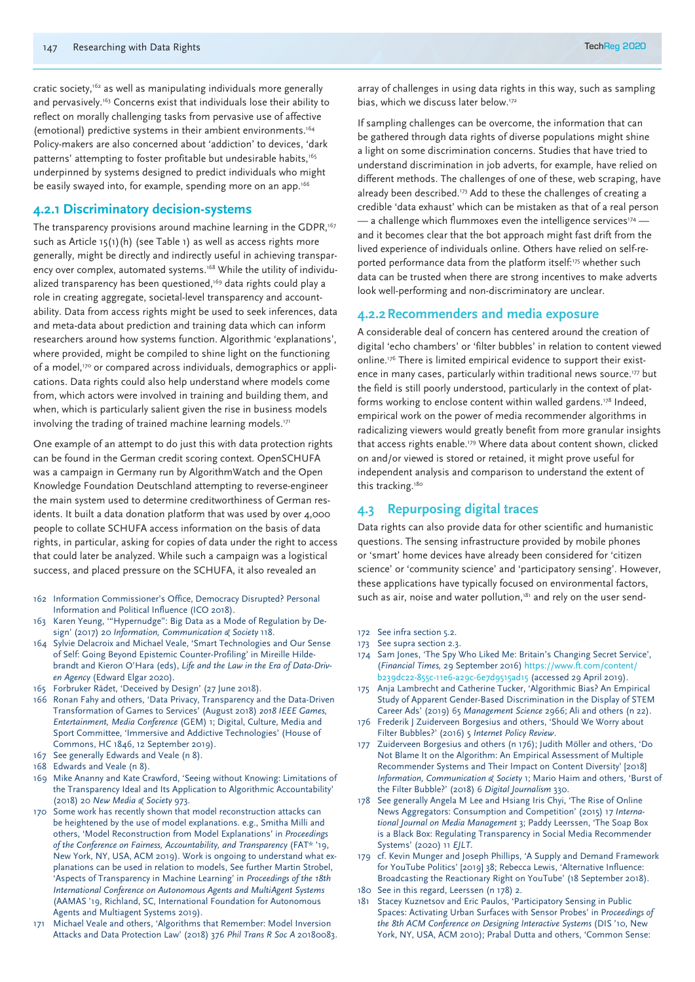cratic society,<sup>162</sup> as well as manipulating individuals more generally and pervasively.<sup>163</sup> Concerns exist that individuals lose their ability to reflect on morally challenging tasks from pervasive use of affective (emotional) predictive systems in their ambient environments.164 Policy-makers are also concerned about 'addiction' to devices, 'dark patterns' attempting to foster profitable but undesirable habits,<sup>165</sup> underpinned by systems designed to predict individuals who might be easily swayed into, for example, spending more on an app.<sup>166</sup>

#### **4.2.1 Discriminatory decision-systems**

The transparency provisions around machine learning in the GDPR,<sup>167</sup> such as Article 15(1)(h) (see Table 1) as well as access rights more generally, might be directly and indirectly useful in achieving transparency over complex, automated systems.<sup>168</sup> While the utility of individualized transparency has been questioned,<sup>169</sup> data rights could play a role in creating aggregate, societal-level transparency and accountability. Data from access rights might be used to seek inferences, data and meta-data about prediction and training data which can inform researchers around how systems function. Algorithmic 'explanations', where provided, might be compiled to shine light on the functioning of a model,<sup>170</sup> or compared across individuals, demographics or applications. Data rights could also help understand where models come from, which actors were involved in training and building them, and when, which is particularly salient given the rise in business models involving the trading of trained machine learning models.<sup>171</sup>

One example of an attempt to do just this with data protection rights can be found in the German credit scoring context. OpenSCHUFA was a campaign in Germany run by AlgorithmWatch and the Open Knowledge Foundation Deutschland attempting to reverse-engineer the main system used to determine creditworthiness of German residents. It built a data donation platform that was used by over 4,000 people to collate SCHUFA access information on the basis of data rights, in particular, asking for copies of data under the right to access that could later be analyzed. While such a campaign was a logistical success, and placed pressure on the SCHUFA, it also revealed an

- 162 Information Commissioner's Office, Democracy Disrupted? Personal Information and Political Influence (ICO 2018).
- 163 Karen Yeung, '"Hypernudge": Big Data as a Mode of Regulation by Design' (2017) 20 *Information, Communication & Society* 118.
- 164 Sylvie Delacroix and Michael Veale, 'Smart Technologies and Our Sense of Self: Going Beyond Epistemic Counter-Profiling' in Mireille Hildebrandt and Kieron O'Hara (eds), *Life and the Law in the Era of Data-Driven Agency* (Edward Elgar 2020).
- 165 Forbruker Rådet, 'Deceived by Design' (27 June 2018).
- 166 Ronan Fahy and others, 'Data Privacy, Transparency and the Data-Driven Transformation of Games to Services' (August 2018) *2018 IEEE Games, Entertainment, Media Conference* (GEM) 1; Digital, Culture, Media and Sport Committee, 'Immersive and Addictive Technologies' (House of Commons, HC 1846, 12 September 2019).
- 167 See generally Edwards and Veale (n 8).
- 168 Edwards and Veale (n 8).
- 169 Mike Ananny and Kate Crawford, 'Seeing without Knowing: Limitations of the Transparency Ideal and Its Application to Algorithmic Accountability' (2018) 20 *New Media & Society* 973.
- 170 Some work has recently shown that model reconstruction attacks can be heightened by the use of model explanations. e.g., Smitha Milli and others, 'Model Reconstruction from Model Explanations' in *Proceedings of the Conference on Fairness, Accountability, and Transparency* (FAT\* '19, New York, NY, USA, ACM 2019). Work is ongoing to understand what explanations can be used in relation to models, See further Martin Strobel, 'Aspects of Transparency in Machine Learning' in *Proceedings of the 18th International Conference on Autonomous Agents and MultiAgent Systems* (AAMAS '19, Richland, SC, International Foundation for Autonomous Agents and Multiagent Systems 2019).
- 171 Michael Veale and others, 'Algorithms that Remember: Model Inversion Attacks and Data Protection Law' (2018) 376 *Phil Trans R Soc A* 20180083.

array of challenges in using data rights in this way, such as sampling bias, which we discuss later below.<sup>172</sup>

If sampling challenges can be overcome, the information that can be gathered through data rights of diverse populations might shine a light on some discrimination concerns. Studies that have tried to understand discrimination in job adverts, for example, have relied on different methods. The challenges of one of these, web scraping, have already been described.<sup>173</sup> Add to these the challenges of creating a credible 'data exhaust' which can be mistaken as that of a real person  $-$  a challenge which flummoxes even the intelligence services $174$   $$ and it becomes clear that the bot approach might fast drift from the lived experience of individuals online. Others have relied on self-reported performance data from the platform itself:<sup>175</sup> whether such data can be trusted when there are strong incentives to make adverts look well-performing and non-discriminatory are unclear.

#### **4.2.2Recommenders and media exposure**

A considerable deal of concern has centered around the creation of digital 'echo chambers' or 'filter bubbles' in relation to content viewed online.<sup>176</sup> There is limited empirical evidence to support their existence in many cases, particularly within traditional news source.<sup>177</sup> but the field is still poorly understood, particularly in the context of platforms working to enclose content within walled gardens.178 Indeed, empirical work on the power of media recommender algorithms in radicalizing viewers would greatly benefit from more granular insights that access rights enable.179 Where data about content shown, clicked on and/or viewed is stored or retained, it might prove useful for independent analysis and comparison to understand the extent of this tracking.<sup>180</sup>

# **4.3 Repurposing digital traces**

Data rights can also provide data for other scientific and humanistic questions. The sensing infrastructure provided by mobile phones or 'smart' home devices have already been considered for 'citizen science' or 'community science' and 'participatory sensing'. However, these applications have typically focused on environmental factors, such as air, noise and water pollution,<sup>181</sup> and rely on the user send-

- 172 See infra section 5.2.
- 173 See supra section 2.3.
- 174 Sam Jones, 'The Spy Who Liked Me: Britain's Changing Secret Service', (*Financial Times,* 29 September 2016) https://www.ft.com/content/ b239dc22-855c-11e6-a29c-6e7d9515ad15 (accessed 29 April 2019).
- 175 Anja Lambrecht and Catherine Tucker, 'Algorithmic Bias? An Empirical Study of Apparent Gender-Based Discrimination in the Display of STEM Career Ads' (2019) 65 *Management Science* 2966; Ali and others (n 22).
- 176 Frederik J Zuiderveen Borgesius and others, 'Should We Worry about Filter Bubbles?' (2016) 5 *Internet Policy Review*.
- 177 Zuiderveen Borgesius and others (n 176); Judith Möller and others, 'Do Not Blame It on the Algorithm: An Empirical Assessment of Multiple Recommender Systems and Their Impact on Content Diversity' [2018] *Information, Communication & Society* 1; Mario Haim and others, 'Burst of the Filter Bubble?' (2018) 6 *Digital Journalism* 330.
- 178 See generally Angela M Lee and Hsiang Iris Chyi, 'The Rise of Online News Aggregators: Consumption and Competition' (2015) 17 *International Journal on Media Management* 3; Paddy Leerssen, 'The Soap Box is a Black Box: Regulating Transparency in Social Media Recommender Systems' (2020) 11 *EJLT*.
- 179 cf. Kevin Munger and Joseph Phillips, 'A Supply and Demand Framework for YouTube Politics' [2019] 38; Rebecca Lewis, 'Alternative Influence: Broadcasting the Reactionary Right on YouTube' (18 September 2018).
- 180 See in this regard, Leerssen (n 178) 2.
- 181 Stacey Kuznetsov and Eric Paulos, 'Participatory Sensing in Public Spaces: Activating Urban Surfaces with Sensor Probes' in P*roceedings of the 8th ACM Conference on Designing Interactive Systems* (DIS '10, New York, NY, USA, ACM 2010); Prabal Dutta and others, 'Common Sense: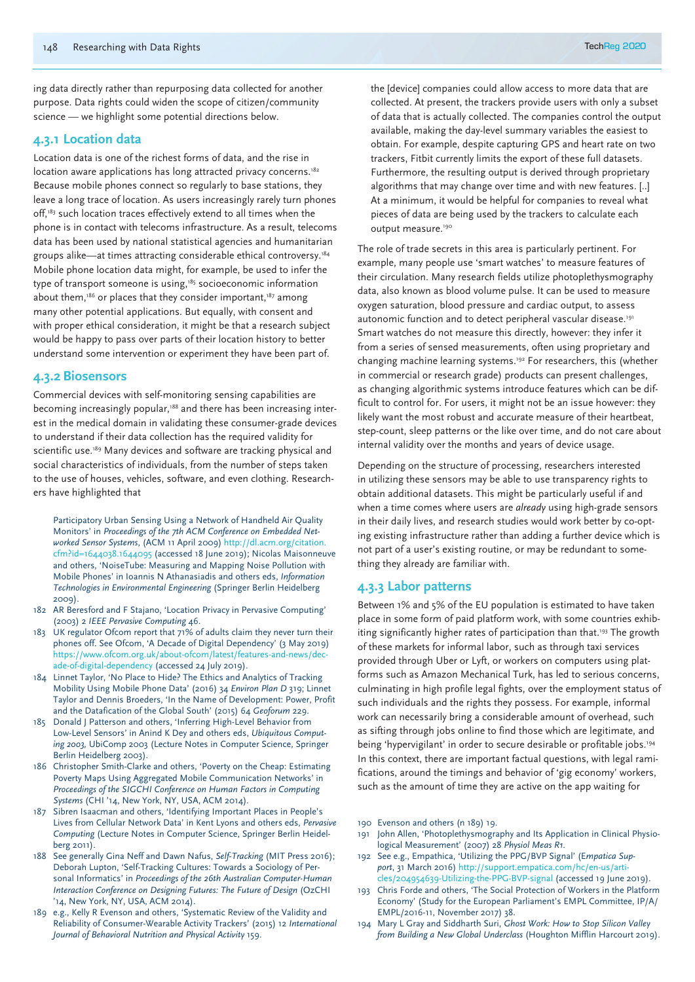ing data directly rather than repurposing data collected for another purpose. Data rights could widen the scope of citizen/community science — we highlight some potential directions below.

#### **4.3.1 Location data**

Location data is one of the richest forms of data, and the rise in location aware applications has long attracted privacy concerns.<sup>182</sup> Because mobile phones connect so regularly to base stations, they leave a long trace of location. As users increasingly rarely turn phones off,<sup>183</sup> such location traces effectively extend to all times when the phone is in contact with telecoms infrastructure. As a result, telecoms data has been used by national statistical agencies and humanitarian groups alike—at times attracting considerable ethical controversy.184 Mobile phone location data might, for example, be used to infer the type of transport someone is using,<sup>185</sup> socioeconomic information about them, $186$  or places that they consider important, $187$  among many other potential applications. But equally, with consent and with proper ethical consideration, it might be that a research subject would be happy to pass over parts of their location history to better understand some intervention or experiment they have been part of.

#### **4.3.2 Biosensors**

Commercial devices with self-monitoring sensing capabilities are becoming increasingly popular,<sup>188</sup> and there has been increasing interest in the medical domain in validating these consumer-grade devices to understand if their data collection has the required validity for scientific use.<sup>189</sup> Many devices and software are tracking physical and social characteristics of individuals, from the number of steps taken to the use of houses, vehicles, software, and even clothing. Researchers have highlighted that

Participatory Urban Sensing Using a Network of Handheld Air Quality Monitors' in *Proceedings of the 7th ACM Conference on Embedded Networked Sensor Systems*, (ACM 11 April 2009) http://dl.acm.org/citation. cfm?id=1644038.1644095 (accessed 18 June 2019); Nicolas Maisonneuve and others, 'NoiseTube: Measuring and Mapping Noise Pollution with Mobile Phones' in Ioannis N Athanasiadis and others eds, *Information Technologies in Environmental Engineering* (Springer Berlin Heidelberg 2009).

- 182 AR Beresford and F Stajano, 'Location Privacy in Pervasive Computing' (2003) 2 *IEEE Pervasive Computing* 46.
- 183 UK regulator Ofcom report that 71% of adults claim they never turn their phones off. See Ofcom, 'A Decade of Digital Dependency' (3 May 2019) https://www.ofcom.org.uk/about-ofcom/latest/features-and-news/decade-of-digital-dependency (accessed 24 July 2019).
- 184 Linnet Taylor, 'No Place to Hide? The Ethics and Analytics of Tracking Mobility Using Mobile Phone Data' (2016) 34 *Environ Plan D* 319; Linnet Taylor and Dennis Broeders, 'In the Name of Development: Power, Profit and the Datafication of the Global South' (2015) 64 *Geoforum* 229.
- 185 Donald J Patterson and others, 'Inferring High-Level Behavior from Low-Level Sensors' in Anind K Dey and others eds, *Ubiquitous Computing 2003,* UbiComp 2003 (Lecture Notes in Computer Science, Springer Berlin Heidelberg 2003).
- 186 Christopher Smith-Clarke and others, 'Poverty on the Cheap: Estimating Poverty Maps Using Aggregated Mobile Communication Networks' in *Proceedings of the SIGCHI Conference on Human Factors in Computing Systems* (CHI '14, New York, NY, USA, ACM 2014).
- 187 Sibren Isaacman and others, 'Identifying Important Places in People's Lives from Cellular Network Data' in Kent Lyons and others eds, *Pervasive Computing* (Lecture Notes in Computer Science, Springer Berlin Heidelberg 2011).
- 188 See generally Gina Neff and Dawn Nafus, *Self-Tracking* (MIT Press 2016); Deborah Lupton, 'Self-Tracking Cultures: Towards a Sociology of Personal Informatics' in *Proceedings of the 26th Australian Computer-Human Interaction Conference on Designing Futures: The Future of Design* (OzCHI '14, New York, NY, USA, ACM 2014).
- 189 e.g., Kelly R Evenson and others, 'Systematic Review of the Validity and Reliability of Consumer-Wearable Activity Trackers' (2015) 12 *International Journal of Behavioral Nutrition and Physical Activity* 159.

the [device] companies could allow access to more data that are collected. At present, the trackers provide users with only a subset of data that is actually collected. The companies control the output available, making the day-level summary variables the easiest to obtain. For example, despite capturing GPS and heart rate on two trackers, Fitbit currently limits the export of these full datasets. Furthermore, the resulting output is derived through proprietary algorithms that may change over time and with new features. [..] At a minimum, it would be helpful for companies to reveal what pieces of data are being used by the trackers to calculate each output measure.<sup>190</sup>

The role of trade secrets in this area is particularly pertinent. For example, many people use 'smart watches' to measure features of their circulation. Many research fields utilize photoplethysmography data, also known as blood volume pulse. It can be used to measure oxygen saturation, blood pressure and cardiac output, to assess autonomic function and to detect peripheral vascular disease.<sup>191</sup> Smart watches do not measure this directly, however: they infer it from a series of sensed measurements, often using proprietary and changing machine learning systems.192 For researchers, this (whether in commercial or research grade) products can present challenges, as changing algorithmic systems introduce features which can be difficult to control for. For users, it might not be an issue however: they likely want the most robust and accurate measure of their heartbeat, step-count, sleep patterns or the like over time, and do not care about internal validity over the months and years of device usage.

Depending on the structure of processing, researchers interested in utilizing these sensors may be able to use transparency rights to obtain additional datasets. This might be particularly useful if and when a time comes where users are *already* using high-grade sensors in their daily lives, and research studies would work better by co-opting existing infrastructure rather than adding a further device which is not part of a user's existing routine, or may be redundant to something they already are familiar with.

# **4.3.3 Labor patterns**

Between 1% and 5% of the EU population is estimated to have taken place in some form of paid platform work, with some countries exhibiting significantly higher rates of participation than that.<sup>193</sup> The growth of these markets for informal labor, such as through taxi services provided through Uber or Lyft, or workers on computers using platforms such as Amazon Mechanical Turk, has led to serious concerns, culminating in high profile legal fights, over the employment status of such individuals and the rights they possess. For example, informal work can necessarily bring a considerable amount of overhead, such as sifting through jobs online to find those which are legitimate, and being 'hypervigilant' in order to secure desirable or profitable jobs.194 In this context, there are important factual questions, with legal ramifications, around the timings and behavior of 'gig economy' workers, such as the amount of time they are active on the app waiting for

- 191 John Allen, 'Photoplethysmography and Its Application in Clinical Physiological Measurement' (2007) 28 *Physiol Meas R1*.
- 192 See e.g., Empathica, 'Utilizing the PPG/BVP Signal' (E*mpatica Support*, 31 March 2016) http://support.empatica.com/hc/en-us/articles/204954639-Utilizing-the-PPG-BVP-signal (accessed 19 June 2019).
- 193 Chris Forde and others, 'The Social Protection of Workers in the Platform Economy' (Study for the European Parliament's EMPL Committee, IP/A/ EMPL/2016-11, November 2017) 38.
- 194 Mary L Gray and Siddharth Suri, *Ghost Work: How to Stop Silicon Valley from Building a New Global Underclass* (Houghton Mifflin Harcourt 2019).

<sup>190</sup> Evenson and others (n 189) 19.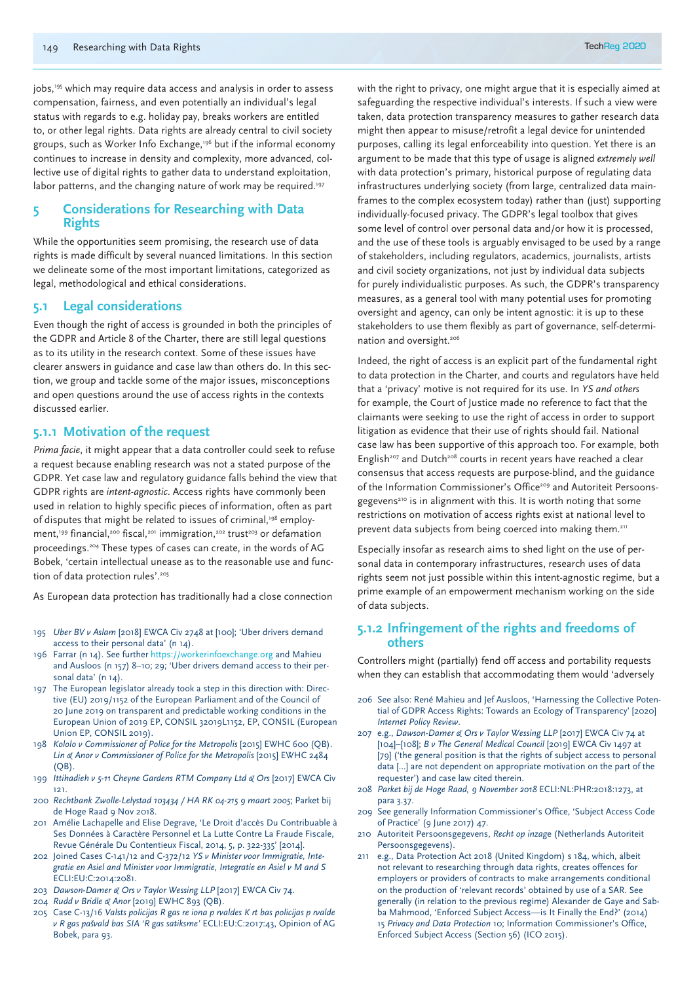jobs,<sup>195</sup> which may require data access and analysis in order to assess compensation, fairness, and even potentially an individual's legal status with regards to e.g. holiday pay, breaks workers are entitled to, or other legal rights. Data rights are already central to civil society groups, such as Worker Info Exchange,196 but if the informal economy continues to increase in density and complexity, more advanced, collective use of digital rights to gather data to understand exploitation, labor patterns, and the changing nature of work may be required.<sup>197</sup>

#### **5 Considerations for Researching with Data Rights**

While the opportunities seem promising, the research use of data rights is made difficult by several nuanced limitations. In this section we delineate some of the most important limitations, categorized as legal, methodological and ethical considerations.

### **5.1 Legal considerations**

Even though the right of access is grounded in both the principles of the GDPR and Article 8 of the Charter, there are still legal questions as to its utility in the research context. Some of these issues have clearer answers in guidance and case law than others do. In this section, we group and tackle some of the major issues, misconceptions and open questions around the use of access rights in the contexts discussed earlier.

# **5.1.1 Motivation of the request**

*Prima facie*, it might appear that a data controller could seek to refuse a request because enabling research was not a stated purpose of the GDPR. Yet case law and regulatory guidance falls behind the view that GDPR rights are *intent-agnostic*. Access rights have commonly been used in relation to highly specific pieces of information, often as part of disputes that might be related to issues of criminal,<sup>198</sup> employment,<sup>199</sup> financial,<sup>200</sup> fiscal,<sup>201</sup> immigration,<sup>202</sup> trust<sup>203</sup> or defamation proceedings.204 These types of cases can create, in the words of AG Bobek, 'certain intellectual unease as to the reasonable use and function of data protection rules'.<sup>205</sup>

As European data protection has traditionally had a close connection

- 195 *Uber BV v Aslam* [2018] EWCA Civ 2748 at [100]; 'Uber drivers demand access to their personal data' (n 14).
- 196 Farrar (n 14). See further https://workerinfoexchange.org and Mahieu and Ausloos (n 157) 8–10; 29; 'Uber drivers demand access to their personal data' (n 14).
- 197 The European legislator already took a step in this direction with: Directive (EU) 2019/1152 of the European Parliament and of the Council of 20 June 2019 on transparent and predictable working conditions in the European Union of 2019 EP, CONSIL 32019L1152, EP, CONSIL (European Union EP, CONSIL 2019).
- 198 *Kololo v Commissioner of Police for the Metropolis* [2015] EWHC 600 (QB). *Lin & Anor v Commissioner of Police for the Metropolis* [2015] EWHC 2484  $(OB)$
- 199 *Ittihadieh v 5-11 Cheyne Gardens RTM Company Ltd & Ors* [2017] EWCA Civ 121.
- 200 *Rechtbank Zwolle-Lelystad 103434 / HA RK 04-215 9 maart 2005*; Parket bij de Hoge Raad 9 Nov 2018.
- 201 Amélie Lachapelle and Elise Degrave, 'Le Droit d'accès Du Contribuable à Ses Données à Caractère Personnel et La Lutte Contre La Fraude Fiscale, Revue Générale Du Contentieux Fiscal, 2014, 5, p. 322-335' [2014].
- 202 Joined Cases C-141/12 and C-372/12 *YS v Minister voor Immigratie, Integratie en Asiel and Minister voor Immigratie, Integratie en Asiel v M and S* ECLI:EU:C:2014:2081.
- 203 *Dawson-Damer & Ors v Taylor Wessing LLP* [2017] EWCA Civ 74.
- 204 *Rudd v Bridle & Anor* [2019] EWHC 893 (QB).
- 205 Case C-13/16 *Valsts policijas Rīgas re iona p rvaldes K rtības policijas p rvalde*  v R gas pašvald bas SIA 'R gas satiksme' ECLI:EU:C:2017:43, Opinion of AG Bobek, para 93.

with the right to privacy, one might argue that it is especially aimed at safeguarding the respective individual's interests. If such a view were taken, data protection transparency measures to gather research data might then appear to misuse/retrofit a legal device for unintended purposes, calling its legal enforceability into question. Yet there is an argument to be made that this type of usage is aligned *extremely well* with data protection's primary, historical purpose of regulating data infrastructures underlying society (from large, centralized data mainframes to the complex ecosystem today) rather than (just) supporting individually-focused privacy. The GDPR's legal toolbox that gives some level of control over personal data and/or how it is processed, and the use of these tools is arguably envisaged to be used by a range of stakeholders, including regulators, academics, journalists, artists and civil society organizations, not just by individual data subjects for purely individualistic purposes. As such, the GDPR's transparency measures, as a general tool with many potential uses for promoting oversight and agency, can only be intent agnostic: it is up to these stakeholders to use them flexibly as part of governance, self-determination and oversight.206

Indeed, the right of access is an explicit part of the fundamental right to data protection in the Charter, and courts and regulators have held that a 'privacy' motive is not required for its use. In *YS and others* for example, the Court of Justice made no reference to fact that the claimants were seeking to use the right of access in order to support litigation as evidence that their use of rights should fail. National case law has been supportive of this approach too. For example, both English<sup>207</sup> and Dutch<sup>208</sup> courts in recent years have reached a clear consensus that access requests are purpose-blind, and the guidance of the Information Commissioner's Office<sup>209</sup> and Autoriteit Persoonsgegevens<sup>210</sup> is in alignment with this. It is worth noting that some restrictions on motivation of access rights exist at national level to prevent data subjects from being coerced into making them.211

Especially insofar as research aims to shed light on the use of personal data in contemporary infrastructures, research uses of data rights seem not just possible within this intent-agnostic regime, but a prime example of an empowerment mechanism working on the side of data subjects.

#### **5.1.2 Infringement of the rights and freedoms of others**

Controllers might (partially) fend off access and portability requests when they can establish that accommodating them would 'adversely

- 206 See also: René Mahieu and Jef Ausloos, 'Harnessing the Collective Potential of GDPR Access Rights: Towards an Ecology of Transparency' [2020] *Internet Policy Review*.
- 207 e.g., *Dawson-Damer & Ors v Taylor Wessing LLP* [2017] EWCA Civ 74 at [104]–[108]; *B v The General Medical Council* [2019] EWCA Civ 1497 at [79] ('the general position is that the rights of subject access to personal data […] are not dependent on appropriate motivation on the part of the requester') and case law cited therein.
- 208 *Parket bij de Hoge Raad, 9 November 2018* ECLI:NL:PHR:2018:1273, at para 3.37.
- 209 See generally Information Commissioner's Office, 'Subject Access Code of Practice' (9 June 2017) 47.
- 210 Autoriteit Persoonsgegevens, *Recht op inzag*e (Netherlands Autoriteit Persoonsgegevens).
- 211 e.g., Data Protection Act 2018 (United Kingdom) s 184, which, albeit not relevant to researching through data rights, creates offences for employers or providers of contracts to make arrangements conditional on the production of 'relevant records' obtained by use of a SAR. See generally (in relation to the previous regime) Alexander de Gaye and Sabba Mahmood, 'Enforced Subject Access—is It Finally the End?' (2014) 15 *Privacy and Data Protection* 10; Information Commissioner's Office, Enforced Subject Access (Section 56) (ICO 2015).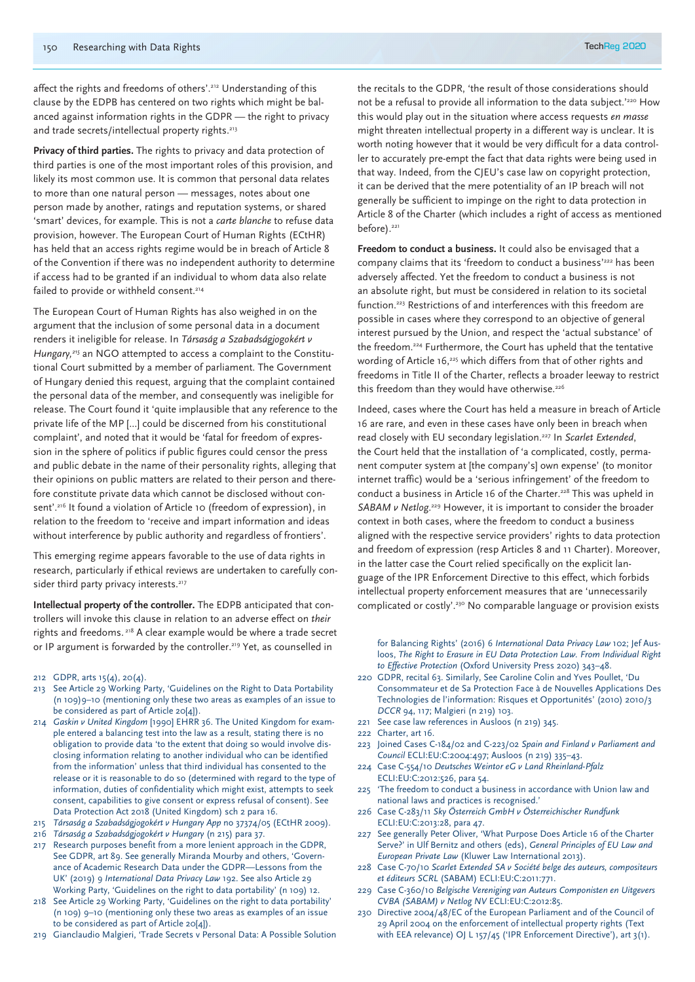affect the rights and freedoms of others'.<sup>212</sup> Understanding of this clause by the EDPB has centered on two rights which might be balanced against information rights in the GDPR — the right to privacy and trade secrets/intellectual property rights.<sup>213</sup>

**Privacy of third parties.** The rights to privacy and data protection of third parties is one of the most important roles of this provision, and likely its most common use. It is common that personal data relates to more than one natural person — messages, notes about one person made by another, ratings and reputation systems, or shared 'smart' devices, for example. This is not a *carte blanche* to refuse data provision, however. The European Court of Human Rights (ECtHR) has held that an access rights regime would be in breach of Article 8 of the Convention if there was no independent authority to determine if access had to be granted if an individual to whom data also relate failed to provide or withheld consent.<sup>214</sup>

The European Court of Human Rights has also weighed in on the argument that the inclusion of some personal data in a document renders it ineligible for release. In *Társaság a Szabadságjogokért v Hungary,215* an NGO attempted to access a complaint to the Constitutional Court submitted by a member of parliament. The Government of Hungary denied this request, arguing that the complaint contained the personal data of the member, and consequently was ineligible for release. The Court found it 'quite implausible that any reference to the private life of the MP [...] could be discerned from his constitutional complaint', and noted that it would be 'fatal for freedom of expression in the sphere of politics if public figures could censor the press and public debate in the name of their personality rights, alleging that their opinions on public matters are related to their person and therefore constitute private data which cannot be disclosed without consent'.<sup>216</sup> It found a violation of Article 10 (freedom of expression), in relation to the freedom to 'receive and impart information and ideas without interference by public authority and regardless of frontiers'.

This emerging regime appears favorable to the use of data rights in research, particularly if ethical reviews are undertaken to carefully consider third party privacy interests.<sup>217</sup>

**Intellectual property of the controller.** The EDPB anticipated that controllers will invoke this clause in relation to an adverse effect on *their* rights and freedoms. 218 A clear example would be where a trade secret or IP argument is forwarded by the controller.<sup>219</sup> Yet, as counselled in

- 212 GDPR, arts 15(4), 20(4).
- 213 See Article 29 Working Party, 'Guidelines on the Right to Data Portability (n 109)9–10 (mentioning only these two areas as examples of an issue to be considered as part of Article 20[4]).
- 214 *Gaskin v United Kingdom* [1990] EHRR 36. The United Kingdom for example entered a balancing test into the law as a result, stating there is no obligation to provide data 'to the extent that doing so would involve disclosing information relating to another individual who can be identified from the information' unless that third individual has consented to the release or it is reasonable to do so (determined with regard to the type of information, duties of confidentiality which might exist, attempts to seek consent, capabilities to give consent or express refusal of consent). See Data Protection Act 2018 (United Kingdom) sch 2 para 16.
- 215 *Társaság a Szabadságjogokért v Hungary App* no 37374/05 (ECtHR 2009).
- 216 *Társaság a Szabadságjogokért v Hungary* (n 215) para 37.
- 217 Research purposes benefit from a more lenient approach in the GDPR, See GDPR, art 89. See generally Miranda Mourby and others, 'Governance of Academic Research Data under the GDPR—Lessons from the UK' (2019) 9 *International Data Privacy Law* 192. See also Article 29 Working Party, 'Guidelines on the right to data portability' (n 109) 12.
- 218 See Article 29 Working Party, 'Guidelines on the right to data portability' (n 109) 9–10 (mentioning only these two areas as examples of an issue to be considered as part of Article 20[4]).
- 219 Gianclaudio Malgieri, 'Trade Secrets v Personal Data: A Possible Solution

the recitals to the GDPR, 'the result of those considerations should not be a refusal to provide all information to the data subject.'220 How this would play out in the situation where access requests *en masse* might threaten intellectual property in a different way is unclear. It is worth noting however that it would be very difficult for a data controller to accurately pre-empt the fact that data rights were being used in that way. Indeed, from the CJEU's case law on copyright protection, it can be derived that the mere potentiality of an IP breach will not generally be sufficient to impinge on the right to data protection in Article 8 of the Charter (which includes a right of access as mentioned before).<sup>221</sup>

**Freedom to conduct a business.** It could also be envisaged that a company claims that its 'freedom to conduct a business'<sup>222</sup> has been adversely affected. Yet the freedom to conduct a business is not an absolute right, but must be considered in relation to its societal function.223 Restrictions of and interferences with this freedom are possible in cases where they correspond to an objective of general interest pursued by the Union, and respect the 'actual substance' of the freedom.224 Furthermore, the Court has upheld that the tentative wording of Article 16,<sup>225</sup> which differs from that of other rights and freedoms in Title II of the Charter, reflects a broader leeway to restrict this freedom than they would have otherwise.<sup>226</sup>

Indeed, cases where the Court has held a measure in breach of Article 16 are rare, and even in these cases have only been in breach when read closely with EU secondary legislation.227 In *Scarlet Extended*, the Court held that the installation of 'a complicated, costly, permanent computer system at [the company's] own expense' (to monitor internet traffic) would be a 'serious infringement' of the freedom to conduct a business in Article 16 of the Charter.<sup>228</sup> This was upheld in SABAM v Netlog.<sup>229</sup> However, it is important to consider the broader context in both cases, where the freedom to conduct a business aligned with the respective service providers' rights to data protection and freedom of expression (resp Articles 8 and 11 Charter). Moreover, in the latter case the Court relied specifically on the explicit language of the IPR Enforcement Directive to this effect, which forbids intellectual property enforcement measures that are 'unnecessarily complicated or costly'.230 No comparable language or provision exists

for Balancing Rights' (2016) 6 *International Data Privacy Law* 102; Jef Ausloos, *The Right to Erasure in EU Data Protection Law. From Individual Right to Effective Protection* (Oxford University Press 2020) 343–48.

- 220 GDPR, recital 63. Similarly, See Caroline Colin and Yves Poullet, 'Du Consommateur et de Sa Protection Face à de Nouvelles Applications Des Technologies de l'information: Risques et Opportunités' (2010) 2010/3 *DCCR* 94, 117; Malgieri (n 219) 103.
- 221 See case law references in Ausloos (n 219) 345.
- 222 Charter, art 16.
- 223 Joined Cases C-184/02 and C-223/02 *Spain and Finland v Parliament and Council* ECLI:EU:C:2004:497; Ausloos (n 219) 335–43.
- 224 Case C-554/10 *Deutsches Weintor eG v Land Rheinland-Pfalz* ECLI:EU:C:2012:526, para 54.
- 225 'The freedom to conduct a business in accordance with Union law and national laws and practices is recognised.'
- 226 Case C-283/11 *Sky Österreich GmbH v Österreichischer Rundfunk*  ECLI:EU:C:2013:28, para 47.
- 227 See generally Peter Oliver, 'What Purpose Does Article 16 of the Charter Serve?' in Ulf Bernitz and others (eds), *General Principles of EU Law and European Private Law* (Kluwer Law International 2013).
- 228 Case C-70/10 *Scarlet Extended SA v Société belge des auteurs, compositeurs et éditeurs SCRL* (SABAM) ECLI:EU:C:2011:771.
- 229 Case C-360/10 *Belgische Vereniging van Auteurs Componisten en Uitgevers CVBA (SABAM) v Netlog NV* ECLI:EU:C:2012:85.
- 230 Directive 2004/48/EC of the European Parliament and of the Council of 29 April 2004 on the enforcement of intellectual property rights (Text with EEA relevance) OJ L 157/45 ('IPR Enforcement Directive'), art 3(1).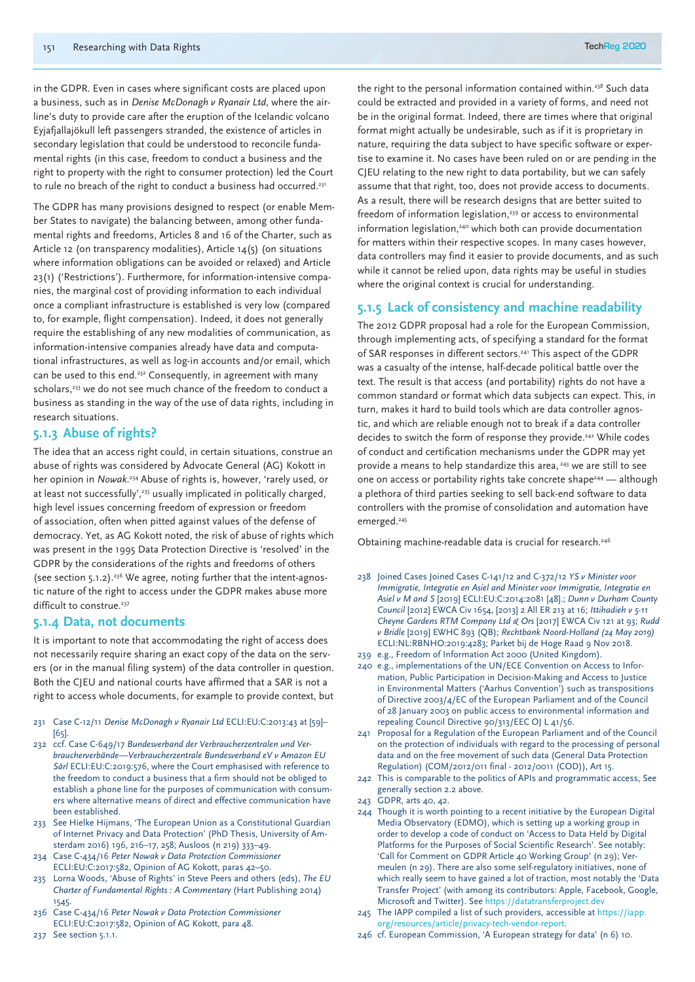in the GDPR. Even in cases where significant costs are placed upon a business, such as in *Denise McDonagh v Ryanair Ltd*, where the airline's duty to provide care after the eruption of the Icelandic volcano Eyjafjallajökull left passengers stranded, the existence of articles in secondary legislation that could be understood to reconcile fundamental rights (in this case, freedom to conduct a business and the right to property with the right to consumer protection) led the Court to rule no breach of the right to conduct a business had occurred.<sup>231</sup>

The GDPR has many provisions designed to respect (or enable Member States to navigate) the balancing between, among other fundamental rights and freedoms, Articles 8 and 16 of the Charter, such as Article 12 (on transparency modalities), Article 14(5) (on situations where information obligations can be avoided or relaxed) and Article 23(1) ('Restrictions'). Furthermore, for information-intensive companies, the marginal cost of providing information to each individual once a compliant infrastructure is established is very low (compared to, for example, flight compensation). Indeed, it does not generally require the establishing of any new modalities of communication, as information-intensive companies already have data and computational infrastructures, as well as log-in accounts and/or email, which can be used to this end.<sup>232</sup> Consequently, in agreement with many scholars,<sup>233</sup> we do not see much chance of the freedom to conduct a business as standing in the way of the use of data rights, including in research situations.

# **5.1.3 Abuse of rights?**

The idea that an access right could, in certain situations, construe an abuse of rights was considered by Advocate General (AG) Kokott in her opinion in *Nowak*. 234 Abuse of rights is, however, 'rarely used, or at least not successfully',<sup>235</sup> usually implicated in politically charged, high level issues concerning freedom of expression or freedom of association, often when pitted against values of the defense of democracy. Yet, as AG Kokott noted, the risk of abuse of rights which was present in the 1995 Data Protection Directive is 'resolved' in the GDPR by the considerations of the rights and freedoms of others (see section 5.1.2).236 We agree, noting further that the intent-agnostic nature of the right to access under the GDPR makes abuse more difficult to construe.<sup>237</sup>

# **5.1.4 Data, not documents**

It is important to note that accommodating the right of access does not necessarily require sharing an exact copy of the data on the servers (or in the manual filing system) of the data controller in question. Both the CJEU and national courts have affirmed that a SAR is not a right to access whole documents, for example to provide context, but

- 231 Case C-12/11 *Denise McDonagh v Ryanair Ltd* ECLI:EU:C:2013:43 at [59]– [65].
- 232 ccf. Case C-649/17 *Bundesverband der Verbraucherzentralen und Verbraucherverbände—Verbraucherzentrale Bundesverband eV v Amazon EU Sàrl* ECLI:EU:C:2019:576, where the Court emphasised with reference to the freedom to conduct a business that a firm should not be obliged to establish a phone line for the purposes of communication with consumers where alternative means of direct and effective communication have been established.
- 233 See Hielke Hijmans, 'The European Union as a Constitutional Guardian of Internet Privacy and Data Protection' (PhD Thesis, University of Amsterdam 2016) 196, 216–17, 258; Ausloos (n 219) 333–49.
- 234 Case C-434/16 *Peter Nowak v Data Protection Commissioner* ECLI:EU:C:2017:582, Opinion of AG Kokott, paras 42–50.
- 235 Lorna Woods, 'Abuse of Rights' in Steve Peers and others (eds), *The EU Charter of Fundamental Rights : A Commentary* (Hart Publishing 2014) 1545.
- 236 Case C-434/16 *Peter Nowak v Data Protection Commissioner*  ECLI:EU:C:2017:582, Opinion of AG Kokott, para 48.
- 237 See section 5.1.1.

the right to the personal information contained within.<sup>238</sup> Such data could be extracted and provided in a variety of forms, and need not be in the original format. Indeed, there are times where that original format might actually be undesirable, such as if it is proprietary in nature, requiring the data subject to have specific software or expertise to examine it. No cases have been ruled on or are pending in the CJEU relating to the new right to data portability, but we can safely assume that that right, too, does not provide access to documents. As a result, there will be research designs that are better suited to freedom of information legislation, $239$  or access to environmental information legislation,<sup>240</sup> which both can provide documentation for matters within their respective scopes. In many cases however, data controllers may find it easier to provide documents, and as such while it cannot be relied upon, data rights may be useful in studies where the original context is crucial for understanding.

# **5.1.5 Lack of consistency and machine readability**

The 2012 GDPR proposal had a role for the European Commission, through implementing acts, of specifying a standard for the format of SAR responses in different sectors.241 This aspect of the GDPR was a casualty of the intense, half-decade political battle over the text. The result is that access (and portability) rights do not have a common standard or format which data subjects can expect. This, in turn, makes it hard to build tools which are data controller agnostic, and which are reliable enough not to break if a data controller decides to switch the form of response they provide.<sup>242</sup> While codes of conduct and certification mechanisms under the GDPR may yet provide a means to help standardize this area, 243 we are still to see one on access or portability rights take concrete shape<sup>244</sup> — although a plethora of third parties seeking to sell back-end software to data controllers with the promise of consolidation and automation have emerged.<sup>245</sup>

Obtaining machine-readable data is crucial for research.<sup>246</sup>

- 238 Joined Cases Joined Cases C-141/12 and C-372/12 *YS v Minister voor Immigratie, Integratie en Asiel and Minister voor Immigratie, Integratie en Asiel v M and S* [2019] ECLI:EU:C:2014:2081 [48].; *Dunn v Durham County Council* [2012] EWCA Civ 1654, [2013] 2 All ER 213 at 16; *Ittihadieh v 5-11 Cheyne Gardens RTM Company Ltd & Ors* [2017] EWCA Civ 121 at 93; *Rudd v Bridle* [2019] EWHC 893 (QB); *Rechtbank Noord-Holland (24 May 2019)* ECLI:NL:RBNHO:2019:4283; Parket bij de Hoge Raad 9 Nov 2018. 239 e.g., Freedom of Information Act 2000 (United Kingdom).
- 240 e.g., implementations of the UN/ECE Convention on Access to Information, Public Participation in Decision-Making and Access to Justice in Environmental Matters ('Aarhus Convention') such as transpositions of Directive 2003/4/EC of the European Parliament and of the Council of 28 January 2003 on public access to environmental information and repealing Council Directive 90/313/EEC OJ L 41/56.
- 241 Proposal for a Regulation of the European Parliament and of the Council on the protection of individuals with regard to the processing of personal data and on the free movement of such data (General Data Protection Regulation) (COM/2012/011 final - 2012/0011 (COD)), Art 15.
- 242 This is comparable to the politics of APIs and programmatic access, See generally section 2.2 above.
- 243 GDPR, arts 40, 42.
- 244 Though it is worth pointing to a recent initiative by the European Digital Media Observatory (EDMO), which is setting up a working group in order to develop a code of conduct on 'Access to Data Held by Digital Platforms for the Purposes of Social Scientific Research'. See notably: 'Call for Comment on GDPR Article 40 Working Group' (n 29); Vermeulen (n 29). There are also some self-regulatory initiatives, none of which really seem to have gained a lot of traction, most notably the 'Data Transfer Project' (with among its contributors: Apple, Facebook, Google, Microsoft and Twitter). See https://datatransferproject.dev
- 245 The IAPP compiled a list of such providers, accessible at https://iapp. org/resources/article/privacy-tech-vendor-report.
- 246 cf. European Commission, 'A European strategy for data' (n 6) 10.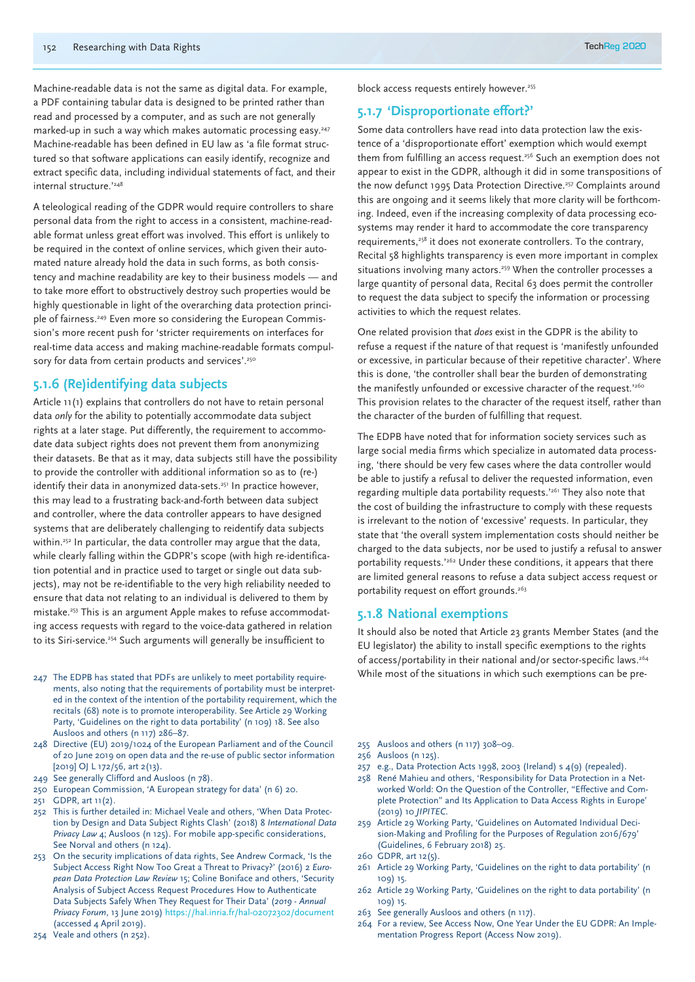Machine-readable data is not the same as digital data. For example, a PDF containing tabular data is designed to be printed rather than read and processed by a computer, and as such are not generally marked-up in such a way which makes automatic processing easy.<sup>247</sup> Machine-readable has been defined in EU law as 'a file format structured so that software applications can easily identify, recognize and extract specific data, including individual statements of fact, and their internal structure.'248

A teleological reading of the GDPR would require controllers to share personal data from the right to access in a consistent, machine-readable format unless great effort was involved. This effort is unlikely to be required in the context of online services, which given their automated nature already hold the data in such forms, as both consistency and machine readability are key to their business models — and to take more effort to obstructively destroy such properties would be highly questionable in light of the overarching data protection principle of fairness.<sup>249</sup> Even more so considering the European Commission's more recent push for 'stricter requirements on interfaces for real-time data access and making machine-readable formats compulsory for data from certain products and services'.<sup>250</sup>

# **5.1.6 (Re)identifying data subjects**

Article 11(1) explains that controllers do not have to retain personal data *only* for the ability to potentially accommodate data subject rights at a later stage. Put differently, the requirement to accommodate data subject rights does not prevent them from anonymizing their datasets. Be that as it may, data subjects still have the possibility to provide the controller with additional information so as to (re-) identify their data in anonymized data-sets.<sup>251</sup> In practice however, this may lead to a frustrating back-and-forth between data subject and controller, where the data controller appears to have designed systems that are deliberately challenging to reidentify data subjects within.<sup>252</sup> In particular, the data controller may argue that the data, while clearly falling within the GDPR's scope (with high re-identification potential and in practice used to target or single out data subjects), may not be re-identifiable to the very high reliability needed to ensure that data not relating to an individual is delivered to them by mistake.253 This is an argument Apple makes to refuse accommodating access requests with regard to the voice-data gathered in relation to its Siri-service.<sup>254</sup> Such arguments will generally be insufficient to

- 247 The EDPB has stated that PDFs are unlikely to meet portability requirements, also noting that the requirements of portability must be interpreted in the context of the intention of the portability requirement, which the recitals (68) note is to promote interoperability. See Article 29 Working Party, 'Guidelines on the right to data portability' (n 109) 18. See also Ausloos and others (n 117) 286–87.
- 248 Directive (EU) 2019/1024 of the European Parliament and of the Council of 20 June 2019 on open data and the re-use of public sector information [2019] OJ L 172/56, art 2(13).
- 249 See generally Clifford and Ausloos (n 78).
- 250 European Commission, 'A European strategy for data' (n 6) 20.
- 251 GDPR, art 11(2).
- 252 This is further detailed in: Michael Veale and others, 'When Data Protection by Design and Data Subject Rights Clash' (2018) 8 *International Data Privacy Law* 4; Ausloos (n 125). For mobile app-specific considerations, See Norval and others (n 124).
- 253 On the security implications of data rights, See Andrew Cormack, 'Is the Subject Access Right Now Too Great a Threat to Privacy?' (2016) 2 *European Data Protection Law Review* 15; Coline Boniface and others, 'Security Analysis of Subject Access Request Procedures How to Authenticate Data Subjects Safely When They Request for Their Data' (*2019 - Annual Privacy Forum*, 13 June 2019) https://hal.inria.fr/hal-02072302/document (accessed 4 April 2019).
- 254 Veale and others (n 252).

block access requests entirely however.<sup>255</sup>

# **5.1.7 'Disproportionate effort?'**

Some data controllers have read into data protection law the existence of a 'disproportionate effort' exemption which would exempt them from fulfilling an access request.<sup>256</sup> Such an exemption does not appear to exist in the GDPR, although it did in some transpositions of the now defunct 1995 Data Protection Directive.<sup>257</sup> Complaints around this are ongoing and it seems likely that more clarity will be forthcoming. Indeed, even if the increasing complexity of data processing ecosystems may render it hard to accommodate the core transparency requirements,<sup>258</sup> it does not exonerate controllers. To the contrary, Recital 58 highlights transparency is even more important in complex situations involving many actors.<sup>259</sup> When the controller processes a large quantity of personal data, Recital 63 does permit the controller to request the data subject to specify the information or processing activities to which the request relates.

One related provision that *does* exist in the GDPR is the ability to refuse a request if the nature of that request is 'manifestly unfounded or excessive, in particular because of their repetitive character'. Where this is done, 'the controller shall bear the burden of demonstrating the manifestly unfounded or excessive character of the request.<sup>'260</sup> This provision relates to the character of the request itself, rather than the character of the burden of fulfilling that request.

The EDPB have noted that for information society services such as large social media firms which specialize in automated data processing, 'there should be very few cases where the data controller would be able to justify a refusal to deliver the requested information, even regarding multiple data portability requests.'261 They also note that the cost of building the infrastructure to comply with these requests is irrelevant to the notion of 'excessive' requests. In particular, they state that 'the overall system implementation costs should neither be charged to the data subjects, nor be used to justify a refusal to answer portability requests.<sup>'262</sup> Under these conditions, it appears that there are limited general reasons to refuse a data subject access request or portability request on effort grounds.<sup>263</sup>

# **5.1.8 National exemptions**

It should also be noted that Article 23 grants Member States (and the EU legislator) the ability to install specific exemptions to the rights of access/portability in their national and/or sector-specific laws.<sup>264</sup> While most of the situations in which such exemptions can be pre-

- 255 Ausloos and others (n 117) 308–09.
- 256 Ausloos (n 125).
- 257 e.g., Data Protection Acts 1998, 2003 (Ireland) s 4(9) (repealed).
- 258 René Mahieu and others, 'Responsibility for Data Protection in a Networked World: On the Question of the Controller, "Effective and Complete Protection" and Its Application to Data Access Rights in Europe' (2019) 10 *JIPITEC*.
- 259 Article 29 Working Party, 'Guidelines on Automated Individual Decision-Making and Profiling for the Purposes of Regulation 2016/679' (Guidelines, 6 February 2018) 25.
- 260 GDPR, art 12(5).
- 261 Article 29 Working Party, 'Guidelines on the right to data portability' (n 109) 15.
- 262 Article 29 Working Party, 'Guidelines on the right to data portability' (n 109) 15.
- 263 See generally Ausloos and others (n 117).
- 264 For a review, See Access Now, One Year Under the EU GDPR: An Implementation Progress Report (Access Now 2019).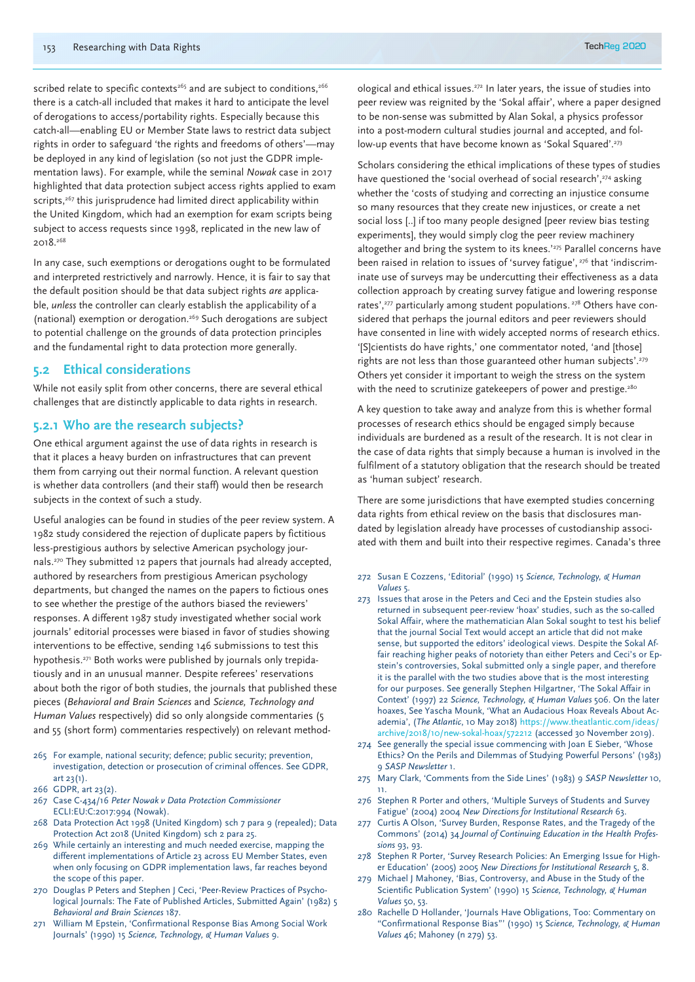scribed relate to specific contexts<sup>265</sup> and are subject to conditions,<sup>266</sup> there is a catch-all included that makes it hard to anticipate the level of derogations to access/portability rights. Especially because this catch-all—enabling EU or Member State laws to restrict data subject rights in order to safeguard 'the rights and freedoms of others'—may be deployed in any kind of legislation (so not just the GDPR implementation laws). For example, while the seminal *Nowak* case in 2017 highlighted that data protection subject access rights applied to exam scripts,<sup>267</sup> this jurisprudence had limited direct applicability within the United Kingdom, which had an exemption for exam scripts being subject to access requests since 1998, replicated in the new law of 2018.268

In any case, such exemptions or derogations ought to be formulated and interpreted restrictively and narrowly. Hence, it is fair to say that the default position should be that data subject rights *are* applicable, *unless* the controller can clearly establish the applicability of a (national) exemption or derogation.269 Such derogations are subject to potential challenge on the grounds of data protection principles and the fundamental right to data protection more generally.

# **5.2 Ethical considerations**

While not easily split from other concerns, there are several ethical challenges that are distinctly applicable to data rights in research.

#### **5.2.1 Who are the research subjects?**

One ethical argument against the use of data rights in research is that it places a heavy burden on infrastructures that can prevent them from carrying out their normal function. A relevant question is whether data controllers (and their staff) would then be research subjects in the context of such a study.

Useful analogies can be found in studies of the peer review system. A 1982 study considered the rejection of duplicate papers by fictitious less-prestigious authors by selective American psychology journals.270 They submitted 12 papers that journals had already accepted, authored by researchers from prestigious American psychology departments, but changed the names on the papers to fictious ones to see whether the prestige of the authors biased the reviewers' responses. A different 1987 study investigated whether social work journals' editorial processes were biased in favor of studies showing interventions to be effective, sending 146 submissions to test this hypothesis.<sup>271</sup> Both works were published by journals only trepidatiously and in an unusual manner. Despite referees' reservations about both the rigor of both studies, the journals that published these pieces (*Behavioral and Brain Sciences* and *Science, Technology and Human Values* respectively) did so only alongside commentaries (5 and 55 (short form) commentaries respectively) on relevant method-

- 265 For example, national security; defence; public security; prevention, investigation, detection or prosecution of criminal offences. See GDPR, art 23(1).
- 266 GDPR, art 23(2).
- 267 Case C-434/16 *Peter Nowak v Data Protection Commissioner* ECLI:EU:C:2017:994 (Nowak).
- 268 Data Protection Act 1998 (United Kingdom) sch 7 para 9 (repealed); Data Protection Act 2018 (United Kingdom) sch 2 para 25.
- 269 While certainly an interesting and much needed exercise, mapping the different implementations of Article 23 across EU Member States, even when only focusing on GDPR implementation laws, far reaches beyond the scope of this paper.
- 270 Douglas P Peters and Stephen J Ceci, 'Peer-Review Practices of Psychological Journals: The Fate of Published Articles, Submitted Again' (1982) 5 *Behavioral and Brain Sciences* 187.
- 271 William M Epstein, 'Confirmational Response Bias Among Social Work Journals' (1990) 15 *Science, Technology, & Human Values* 9.

ological and ethical issues.272 In later years, the issue of studies into peer review was reignited by the 'Sokal affair', where a paper designed to be non-sense was submitted by Alan Sokal, a physics professor into a post-modern cultural studies journal and accepted, and follow-up events that have become known as 'Sokal Squared'.<sup>273</sup>

Scholars considering the ethical implications of these types of studies have questioned the 'social overhead of social research',<sup>274</sup> asking whether the 'costs of studying and correcting an injustice consume so many resources that they create new injustices, or create a net social loss [..] if too many people designed [peer review bias testing experiments], they would simply clog the peer review machinery altogether and bring the system to its knees.'<sup>275</sup> Parallel concerns have been raised in relation to issues of 'survey fatigue', <sup>276</sup> that 'indiscriminate use of surveys may be undercutting their effectiveness as a data collection approach by creating survey fatigue and lowering response rates',<sup>277</sup> particularly among student populations.<sup>278</sup> Others have considered that perhaps the journal editors and peer reviewers should have consented in line with widely accepted norms of research ethics. '[S]cientists do have rights,' one commentator noted, 'and [those] rights are not less than those guaranteed other human subjects'.<sup>279</sup> Others yet consider it important to weigh the stress on the system with the need to scrutinize gatekeepers of power and prestige.<sup>280</sup>

A key question to take away and analyze from this is whether formal processes of research ethics should be engaged simply because individuals are burdened as a result of the research. It is not clear in the case of data rights that simply because a human is involved in the fulfilment of a statutory obligation that the research should be treated as 'human subject' research.

There are some jurisdictions that have exempted studies concerning data rights from ethical review on the basis that disclosures mandated by legislation already have processes of custodianship associated with them and built into their respective regimes. Canada's three

- 272 Susan E Cozzens, 'Editorial' (1990) 15 *Science, Technology, & Human Values* 5.
- 273 Issues that arose in the Peters and Ceci and the Epstein studies also returned in subsequent peer-review 'hoax' studies, such as the so-called Sokal Affair, where the mathematician Alan Sokal sought to test his belief that the journal Social Text would accept an article that did not make sense, but supported the editors' ideological views. Despite the Sokal Affair reaching higher peaks of notoriety than either Peters and Ceci's or Epstein's controversies, Sokal submitted only a single paper, and therefore it is the parallel with the two studies above that is the most interesting for our purposes. See generally Stephen Hilgartner, 'The Sokal Affair in Context' (1997) 22 *Science, Technology, & Human Values* 506. On the later hoaxes, See Yascha Mounk, 'What an Audacious Hoax Reveals About Academia', (*The Atlantic*, 10 May 2018) https://www.theatlantic.com/ideas/ archive/2018/10/new-sokal-hoax/572212 (accessed 30 November 2019).
- 274 See generally the special issue commencing with Joan E Sieber, 'Whose Ethics? On the Perils and Dilemmas of Studying Powerful Persons' (1983) 9 *SASP Newsletter* 1.
- 275 Mary Clark, 'Comments from the Side Lines' (1983) 9 *SASP Newsletter* 10, 11.
- 276 Stephen R Porter and others, 'Multiple Surveys of Students and Survey Fatigue' (2004) 2004 *New Directions for Institutional Research* 63.
- 277 Curtis A Olson, 'Survey Burden, Response Rates, and the Tragedy of the Commons' (2014) 34 *Journal of Continuing Education in the Health Professions* 93, 93.
- 278 Stephen R Porter, 'Survey Research Policies: An Emerging Issue for Higher Education' (2005) 2005 *New Directions for Institutional Research* 5, 8.
- 279 Michael J Mahoney, 'Bias, Controversy, and Abuse in the Study of the Scientific Publication System' (1990) 15 *Science, Technology, & Human Values* 50, 53.
- 280 Rachelle D Hollander, 'Journals Have Obligations, Too: Commentary on "Confirmational Response Bias"' (1990) 15 S*cience, Technology, & Human Values* 46; Mahoney (n 279) 53.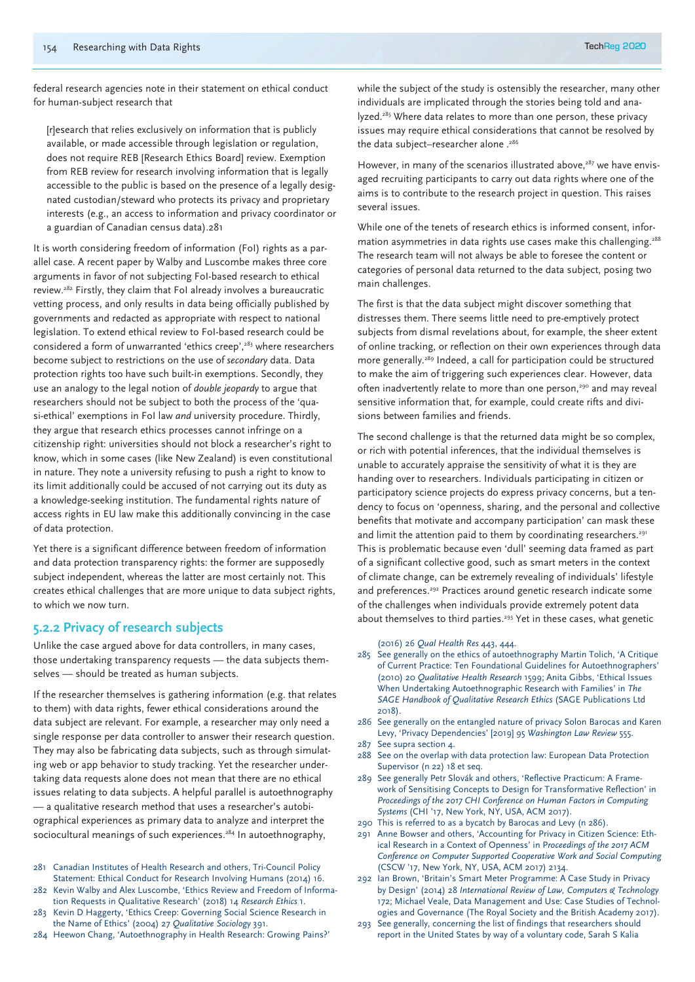federal research agencies note in their statement on ethical conduct for human-subject research that

[r]esearch that relies exclusively on information that is publicly available, or made accessible through legislation or regulation, does not require REB [Research Ethics Board] review. Exemption from REB review for research involving information that is legally accessible to the public is based on the presence of a legally designated custodian/steward who protects its privacy and proprietary interests (e.g., an access to information and privacy coordinator or a guardian of Canadian census data).281

It is worth considering freedom of information (FoI) rights as a parallel case. A recent paper by Walby and Luscombe makes three core arguments in favor of not subjecting FoI-based research to ethical review.282 Firstly, they claim that FoI already involves a bureaucratic vetting process, and only results in data being officially published by governments and redacted as appropriate with respect to national legislation. To extend ethical review to FoI-based research could be considered a form of unwarranted 'ethics creep',283 where researchers become subject to restrictions on the use of *secondary* data. Data protection rights too have such built-in exemptions. Secondly, they use an analogy to the legal notion of *double jeopardy* to argue that researchers should not be subject to both the process of the 'quasi-ethical' exemptions in FoI law *and* university procedure. Thirdly, they argue that research ethics processes cannot infringe on a citizenship right: universities should not block a researcher's right to know, which in some cases (like New Zealand) is even constitutional in nature. They note a university refusing to push a right to know to its limit additionally could be accused of not carrying out its duty as a knowledge-seeking institution. The fundamental rights nature of access rights in EU law make this additionally convincing in the case of data protection.

Yet there is a significant difference between freedom of information and data protection transparency rights: the former are supposedly subject independent, whereas the latter are most certainly not. This creates ethical challenges that are more unique to data subject rights, to which we now turn.

## **5.2.2 Privacy of research subjects**

Unlike the case argued above for data controllers, in many cases, those undertaking transparency requests — the data subjects themselves — should be treated as human subjects.

If the researcher themselves is gathering information (e.g. that relates to them) with data rights, fewer ethical considerations around the data subject are relevant. For example, a researcher may only need a single response per data controller to answer their research question. They may also be fabricating data subjects, such as through simulating web or app behavior to study tracking. Yet the researcher undertaking data requests alone does not mean that there are no ethical issues relating to data subjects. A helpful parallel is autoethnography — a qualitative research method that uses a researcher's autobiographical experiences as primary data to analyze and interpret the sociocultural meanings of such experiences.<sup>284</sup> In autoethnography,

- 281 Canadian Institutes of Health Research and others, Tri-Council Policy Statement: Ethical Conduct for Research Involving Humans (2014) 16.
- 282 Kevin Walby and Alex Luscombe, 'Ethics Review and Freedom of Information Requests in Qualitative Research' (2018) 14 *Research Ethics* 1.
- 283 Kevin D Haggerty, 'Ethics Creep: Governing Social Science Research in the Name of Ethics' (2004) 27 *Qualitative Sociology* 391.
- 284 Heewon Chang, 'Autoethnography in Health Research: Growing Pains?'

while the subject of the study is ostensibly the researcher, many other individuals are implicated through the stories being told and analyzed.<sup>285</sup> Where data relates to more than one person, these privacy issues may require ethical considerations that cannot be resolved by the data subject-researcher alone .<sup>286</sup>

However, in many of the scenarios illustrated above,<sup>287</sup> we have envisaged recruiting participants to carry out data rights where one of the aims is to contribute to the research project in question. This raises several issues.

While one of the tenets of research ethics is informed consent, information asymmetries in data rights use cases make this challenging.288 The research team will not always be able to foresee the content or categories of personal data returned to the data subject, posing two main challenges.

The first is that the data subject might discover something that distresses them. There seems little need to pre-emptively protect subjects from dismal revelations about, for example, the sheer extent of online tracking, or reflection on their own experiences through data more generally.289 Indeed, a call for participation could be structured to make the aim of triggering such experiences clear. However, data often inadvertently relate to more than one person,<sup>290</sup> and may reveal sensitive information that, for example, could create rifts and divisions between families and friends.

The second challenge is that the returned data might be so complex, or rich with potential inferences, that the individual themselves is unable to accurately appraise the sensitivity of what it is they are handing over to researchers. Individuals participating in citizen or participatory science projects do express privacy concerns, but a tendency to focus on 'openness, sharing, and the personal and collective benefits that motivate and accompany participation' can mask these and limit the attention paid to them by coordinating researchers.<sup>291</sup> This is problematic because even 'dull' seeming data framed as part of a significant collective good, such as smart meters in the context of climate change, can be extremely revealing of individuals' lifestyle and preferences.<sup>292</sup> Practices around genetic research indicate some of the challenges when individuals provide extremely potent data about themselves to third parties.<sup>293</sup> Yet in these cases, what genetic

#### (2016) 26 *Qual Health Res* 443, 444.

- 285 See generally on the ethics of autoethnography Martin Tolich, 'A Critique of Current Practice: Ten Foundational Guidelines for Autoethnographers' (2010) 20 *Qualitative Health Research* 1599; Anita Gibbs, 'Ethical Issues When Undertaking Autoethnographic Research with Families' in *The SAGE Handbook of Qualitative Research Ethics* (SAGE Publications Ltd 2018).
- 286 See generally on the entangled nature of privacy Solon Barocas and Karen Levy, 'Privacy Dependencies' [2019] 95 *Washington Law Review* 555.
- 287 See supra section 4.
- 288 See on the overlap with data protection law: European Data Protection Supervisor (n 22) 18 et seq.
- 289 See generally Petr Slovák and others, 'Reflective Practicum: A Framework of Sensitising Concepts to Design for Transformative Reflection' in *Proceedings of the 2017 CHI Conference on Human Factors in Computing Systems* (CHI '17, New York, NY, USA, ACM 2017).
- 290 This is referred to as a bycatch by Barocas and Levy (n 286).
- 291 Anne Bowser and others, 'Accounting for Privacy in Citizen Science: Ethical Research in a Context of Openness' in P*roceedings of the 2017 ACM Conference on Computer Supported Cooperative Work and Social Computing* (CSCW '17, New York, NY, USA, ACM 2017) 2134.
- 292 Ian Brown, 'Britain's Smart Meter Programme: A Case Study in Privacy by Design' (2014) 28 *International Review of Law, Computers & Technology* 172; Michael Veale, Data Management and Use: Case Studies of Technologies and Governance (The Royal Society and the British Academy 2017).
- 293 See generally, concerning the list of findings that researchers should report in the United States by way of a voluntary code, Sarah S Kalia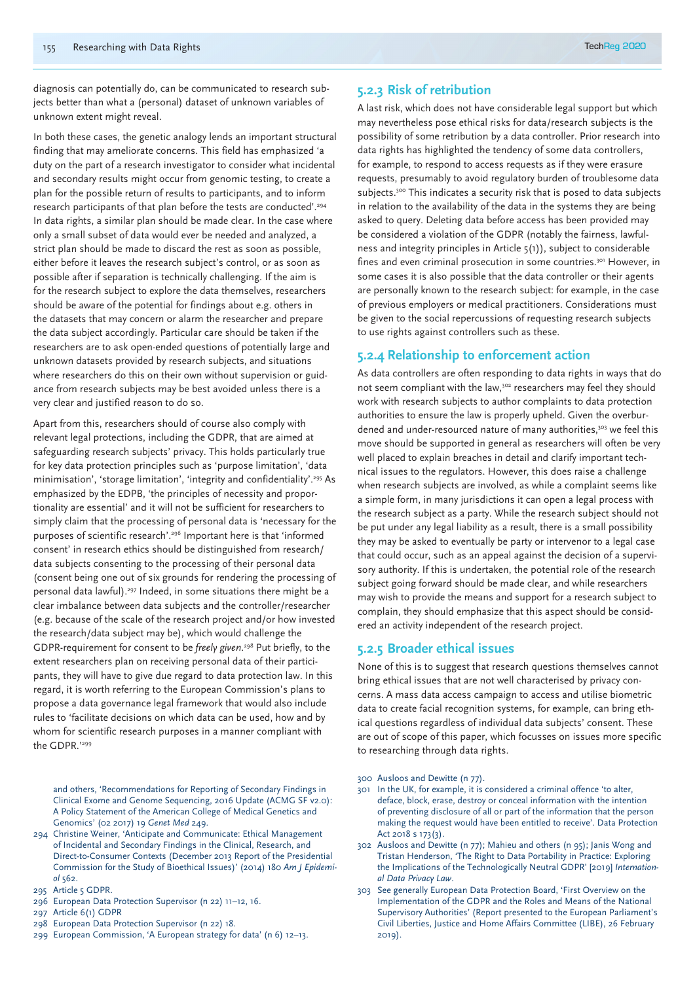diagnosis can potentially do, can be communicated to research subjects better than what a (personal) dataset of unknown variables of unknown extent might reveal.

In both these cases, the genetic analogy lends an important structural finding that may ameliorate concerns. This field has emphasized 'a duty on the part of a research investigator to consider what incidental and secondary results might occur from genomic testing, to create a plan for the possible return of results to participants, and to inform research participants of that plan before the tests are conducted'.294 In data rights, a similar plan should be made clear. In the case where only a small subset of data would ever be needed and analyzed, a strict plan should be made to discard the rest as soon as possible, either before it leaves the research subject's control, or as soon as possible after if separation is technically challenging. If the aim is for the research subject to explore the data themselves, researchers should be aware of the potential for findings about e.g. others in the datasets that may concern or alarm the researcher and prepare the data subject accordingly. Particular care should be taken if the researchers are to ask open-ended questions of potentially large and unknown datasets provided by research subjects, and situations where researchers do this on their own without supervision or guidance from research subjects may be best avoided unless there is a very clear and justified reason to do so.

Apart from this, researchers should of course also comply with relevant legal protections, including the GDPR, that are aimed at safeguarding research subjects' privacy. This holds particularly true for key data protection principles such as 'purpose limitation', 'data minimisation', 'storage limitation', 'integrity and confidentiality'.295 As emphasized by the EDPB, 'the principles of necessity and proportionality are essential' and it will not be sufficient for researchers to simply claim that the processing of personal data is 'necessary for the purposes of scientific research'.296 Important here is that 'informed consent' in research ethics should be distinguished from research/ data subjects consenting to the processing of their personal data (consent being one out of six grounds for rendering the processing of personal data lawful).<sup>297</sup> Indeed, in some situations there might be a clear imbalance between data subjects and the controller/researcher (e.g. because of the scale of the research project and/or how invested the research/data subject may be), which would challenge the GDPR-requirement for consent to be *freely given*. 298 Put briefly, to the extent researchers plan on receiving personal data of their participants, they will have to give due regard to data protection law. In this regard, it is worth referring to the European Commission's plans to propose a data governance legal framework that would also include rules to 'facilitate decisions on which data can be used, how and by whom for scientific research purposes in a manner compliant with the GDPR<sup>'299</sup>

and others, 'Recommendations for Reporting of Secondary Findings in Clinical Exome and Genome Sequencing, 2016 Update (ACMG SF v2.0): A Policy Statement of the American College of Medical Genetics and Genomics' (02 2017) 19 *Genet Med* 249.

- 294 Christine Weiner, 'Anticipate and Communicate: Ethical Management of Incidental and Secondary Findings in the Clinical, Research, and Direct-to-Consumer Contexts (December 2013 Report of the Presidential Commission for the Study of Bioethical Issues)' (2014) 180 *Am J Epidemiol* 562.
- 295 Article 5 GDPR.
- 296 European Data Protection Supervisor (n 22) 11–12, 16.
- 297 Article 6(1) GDPR
- 298 European Data Protection Supervisor (n 22) 18.
- 299 European Commission, 'A European strategy for data' (n 6) 12–13.

# **5.2.3 Risk of retribution**

A last risk, which does not have considerable legal support but which may nevertheless pose ethical risks for data/research subjects is the possibility of some retribution by a data controller. Prior research into data rights has highlighted the tendency of some data controllers, for example, to respond to access requests as if they were erasure requests, presumably to avoid regulatory burden of troublesome data subjects.<sup>300</sup> This indicates a security risk that is posed to data subjects in relation to the availability of the data in the systems they are being asked to query. Deleting data before access has been provided may be considered a violation of the GDPR (notably the fairness, lawfulness and integrity principles in Article 5(1)), subject to considerable fines and even criminal prosecution in some countries.<sup>301</sup> However, in some cases it is also possible that the data controller or their agents are personally known to the research subject: for example, in the case of previous employers or medical practitioners. Considerations must be given to the social repercussions of requesting research subjects to use rights against controllers such as these.

#### **5.2.4 Relationship to enforcement action**

As data controllers are often responding to data rights in ways that do not seem compliant with the law,<sup>302</sup> researchers may feel they should work with research subjects to author complaints to data protection authorities to ensure the law is properly upheld. Given the overburdened and under-resourced nature of many authorities,<sup>303</sup> we feel this move should be supported in general as researchers will often be very well placed to explain breaches in detail and clarify important technical issues to the regulators. However, this does raise a challenge when research subjects are involved, as while a complaint seems like a simple form, in many jurisdictions it can open a legal process with the research subject as a party. While the research subject should not be put under any legal liability as a result, there is a small possibility they may be asked to eventually be party or intervenor to a legal case that could occur, such as an appeal against the decision of a supervisory authority. If this is undertaken, the potential role of the research subject going forward should be made clear, and while researchers may wish to provide the means and support for a research subject to complain, they should emphasize that this aspect should be considered an activity independent of the research project.

# **5.2.5 Broader ethical issues**

None of this is to suggest that research questions themselves cannot bring ethical issues that are not well characterised by privacy concerns. A mass data access campaign to access and utilise biometric data to create facial recognition systems, for example, can bring ethical questions regardless of individual data subjects' consent. These are out of scope of this paper, which focusses on issues more specific to researching through data rights.

- 300 Ausloos and Dewitte (n 77).
- 301 In the UK, for example, it is considered a criminal offence 'to alter, deface, block, erase, destroy or conceal information with the intention of preventing disclosure of all or part of the information that the person making the request would have been entitled to receive'. Data Protection Act 2018 s 173(3).
- 302 Ausloos and Dewitte (n 77); Mahieu and others (n 95); Janis Wong and Tristan Henderson, 'The Right to Data Portability in Practice: Exploring the Implications of the Technologically Neutral GDPR' [2019] *International Data Privacy Law*.
- 303 See generally European Data Protection Board, 'First Overview on the Implementation of the GDPR and the Roles and Means of the National Supervisory Authorities' (Report presented to the European Parliament's Civil Liberties, Justice and Home Affairs Committee (LIBE), 26 February 2019).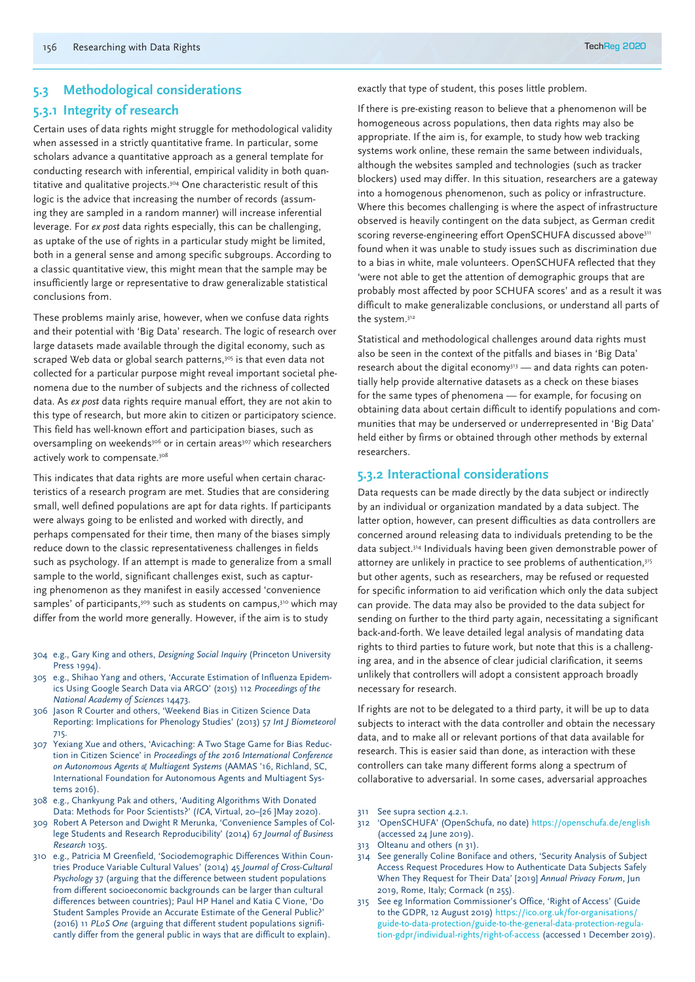#### **5.3 Methodological considerations**

# **5.3.1 Integrity of research**

Certain uses of data rights might struggle for methodological validity when assessed in a strictly quantitative frame. In particular, some scholars advance a quantitative approach as a general template for conducting research with inferential, empirical validity in both quantitative and qualitative projects.304 One characteristic result of this logic is the advice that increasing the number of records (assuming they are sampled in a random manner) will increase inferential leverage. For *ex post* data rights especially, this can be challenging, as uptake of the use of rights in a particular study might be limited, both in a general sense and among specific subgroups. According to a classic quantitative view, this might mean that the sample may be insufficiently large or representative to draw generalizable statistical conclusions from.

These problems mainly arise, however, when we confuse data rights and their potential with 'Big Data' research. The logic of research over large datasets made available through the digital economy, such as scraped Web data or global search patterns,<sup>305</sup> is that even data not collected for a particular purpose might reveal important societal phenomena due to the number of subjects and the richness of collected data. As *ex post* data rights require manual effort, they are not akin to this type of research, but more akin to citizen or participatory science. This field has well-known effort and participation biases, such as oversampling on weekends<sup>306</sup> or in certain areas<sup>307</sup> which researchers actively work to compensate.<sup>308</sup>

This indicates that data rights are more useful when certain characteristics of a research program are met. Studies that are considering small, well defined populations are apt for data rights. If participants were always going to be enlisted and worked with directly, and perhaps compensated for their time, then many of the biases simply reduce down to the classic representativeness challenges in fields such as psychology. If an attempt is made to generalize from a small sample to the world, significant challenges exist, such as capturing phenomenon as they manifest in easily accessed 'convenience samples' of participants,<sup>309</sup> such as students on campus,<sup>310</sup> which may differ from the world more generally. However, if the aim is to study

- 304 e.g., Gary King and others, *Designing Social Inquiry* (Princeton University Press 1994).
- 305 e.g., Shihao Yang and others, 'Accurate Estimation of Influenza Epidemics Using Google Search Data via ARGO' (2015) 112 *Proceedings of the National Academy of Sciences* 14473.
- 306 Jason R Courter and others, 'Weekend Bias in Citizen Science Data Reporting: Implications for Phenology Studies' (2013) 57 *Int J Biometeorol*  715.
- 307 Yexiang Xue and others, 'Avicaching: A Two Stage Game for Bias Reduction in Citizen Science' in *Proceedings of the 2016 International Conference on Autonomous Agents & Multiagent Systems* (AAMAS '16, Richland, SC, International Foundation for Autonomous Agents and Multiagent Systems 2016).
- 308 e.g., Chankyung Pak and others, 'Auditing Algorithms With Donated Data: Methods for Poor Scientists?' (*ICA*, Virtual, 20–[26 ]May 2020).
- 309 Robert A Peterson and Dwight R Merunka, 'Convenience Samples of College Students and Research Reproducibility' (2014) 67 *Journal of Business Research* 1035.
- 310 e.g., Patricia M Greenfield, 'Sociodemographic Differences Within Countries Produce Variable Cultural Values' (2014) 45 *Journal of Cross-Cultural Psychology* 37 (arguing that the difference between student populations from different socioeconomic backgrounds can be larger than cultural differences between countries); Paul HP Hanel and Katia C Vione, 'Do Student Samples Provide an Accurate Estimate of the General Public?' (2016) 11 *PLoS One* (arguing that different student populations significantly differ from the general public in ways that are difficult to explain).

exactly that type of student, this poses little problem.

If there is pre-existing reason to believe that a phenomenon will be homogeneous across populations, then data rights may also be appropriate. If the aim is, for example, to study how web tracking systems work online, these remain the same between individuals, although the websites sampled and technologies (such as tracker blockers) used may differ. In this situation, researchers are a gateway into a homogenous phenomenon, such as policy or infrastructure. Where this becomes challenging is where the aspect of infrastructure observed is heavily contingent on the data subject, as German credit scoring reverse-engineering effort OpenSCHUFA discussed above<sup>311</sup> found when it was unable to study issues such as discrimination due to a bias in white, male volunteers. OpenSCHUFA reflected that they 'were not able to get the attention of demographic groups that are probably most affected by poor SCHUFA scores' and as a result it was difficult to make generalizable conclusions, or understand all parts of the system.312

Statistical and methodological challenges around data rights must also be seen in the context of the pitfalls and biases in 'Big Data' research about the digital economy $313$  — and data rights can potentially help provide alternative datasets as a check on these biases for the same types of phenomena — for example, for focusing on obtaining data about certain difficult to identify populations and communities that may be underserved or underrepresented in 'Big Data' held either by firms or obtained through other methods by external researchers.

#### **5.3.2 Interactional considerations**

Data requests can be made directly by the data subject or indirectly by an individual or organization mandated by a data subject. The latter option, however, can present difficulties as data controllers are concerned around releasing data to individuals pretending to be the data subject.314 Individuals having been given demonstrable power of attorney are unlikely in practice to see problems of authentication,<sup>315</sup> but other agents, such as researchers, may be refused or requested for specific information to aid verification which only the data subject can provide. The data may also be provided to the data subject for sending on further to the third party again, necessitating a significant back-and-forth. We leave detailed legal analysis of mandating data rights to third parties to future work, but note that this is a challenging area, and in the absence of clear judicial clarification, it seems unlikely that controllers will adopt a consistent approach broadly necessary for research.

If rights are not to be delegated to a third party, it will be up to data subjects to interact with the data controller and obtain the necessary data, and to make all or relevant portions of that data available for research. This is easier said than done, as interaction with these controllers can take many different forms along a spectrum of collaborative to adversarial. In some cases, adversarial approaches

- 311 See supra section 4.2.1.
- 312 'OpenSCHUFA' (OpenSchufa, no date) https://openschufa.de/english (accessed 24 June 2019).
- 313 Olteanu and others (n 31).
- 314 See generally Coline Boniface and others, 'Security Analysis of Subject Access Request Procedures How to Authenticate Data Subjects Safely When They Request for Their Data' [2019] *Annual Privacy Forum*, Jun 2019, Rome, Italy; Cormack (n 255).
- 315 See eg Information Commissioner's Office, 'Right of Access' (Guide to the GDPR, 12 August 2019) https://ico.org.uk/for-organisations/ guide-to-data-protection/guide-to-the-general-data-protection-regulation-gdpr/individual-rights/right-of-access (accessed 1 December 2019).